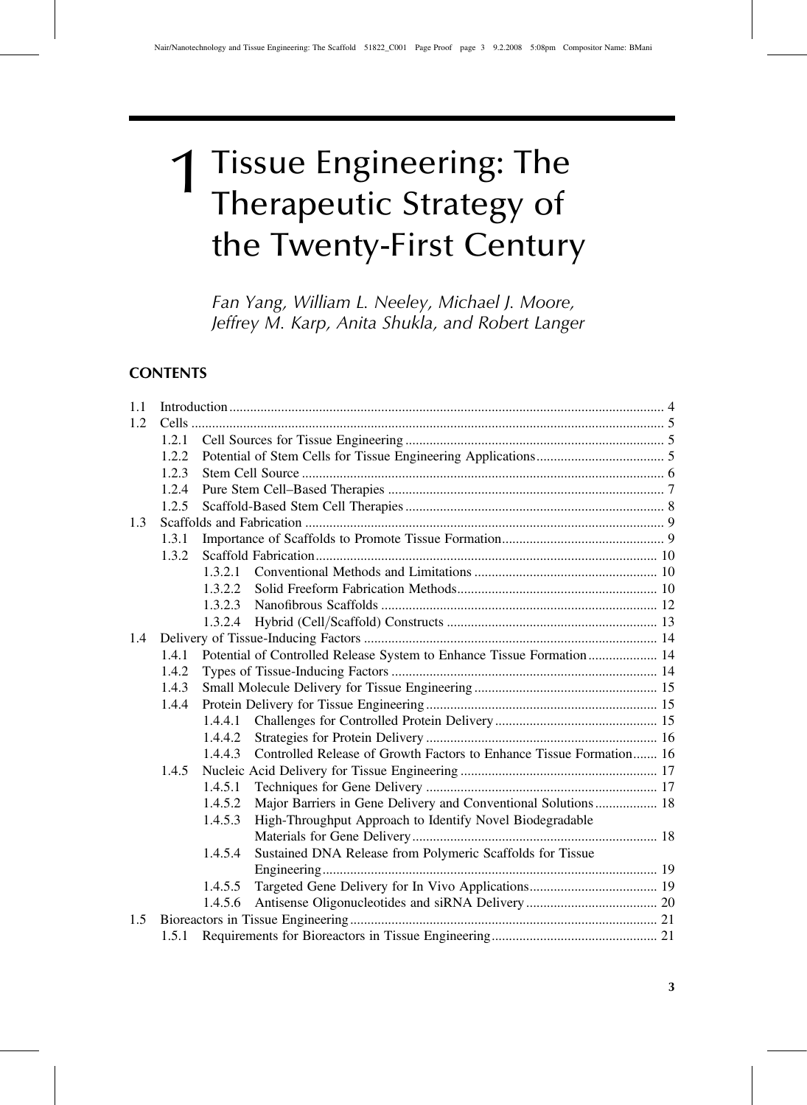Fan Yang, William L. Neeley, Michael J. Moore, Jeffrey M. Karp, Anita Shukla, and Robert Langer

# **CONTENTS**

| 1.1 |       |                                                                                |  |  |  |
|-----|-------|--------------------------------------------------------------------------------|--|--|--|
| 1.2 |       |                                                                                |  |  |  |
|     | 1.2.1 |                                                                                |  |  |  |
|     | 1.2.2 |                                                                                |  |  |  |
|     | 1.2.3 |                                                                                |  |  |  |
|     | 1.2.4 |                                                                                |  |  |  |
|     | 1.2.5 |                                                                                |  |  |  |
| 1.3 |       |                                                                                |  |  |  |
|     | 1.3.1 |                                                                                |  |  |  |
|     | 1.3.2 |                                                                                |  |  |  |
|     |       |                                                                                |  |  |  |
|     |       | 1.3.2.2                                                                        |  |  |  |
|     |       | 1.3.2.3                                                                        |  |  |  |
|     |       | 1.3.2.4                                                                        |  |  |  |
| 1.4 |       |                                                                                |  |  |  |
|     | 1.4.1 | Potential of Controlled Release System to Enhance Tissue Formation 14          |  |  |  |
|     | 1.4.2 |                                                                                |  |  |  |
|     | 1.4.3 |                                                                                |  |  |  |
|     | 1.4.4 |                                                                                |  |  |  |
|     |       | 1.4.4.1                                                                        |  |  |  |
|     |       | 1.4.4.2                                                                        |  |  |  |
|     |       | Controlled Release of Growth Factors to Enhance Tissue Formation 16<br>1.4.4.3 |  |  |  |
|     | 1.4.5 |                                                                                |  |  |  |
|     |       | 1.4.5.1                                                                        |  |  |  |
|     |       | Major Barriers in Gene Delivery and Conventional Solutions 18<br>1.4.5.2       |  |  |  |
|     |       | High-Throughput Approach to Identify Novel Biodegradable<br>1.4.5.3            |  |  |  |
|     |       |                                                                                |  |  |  |
|     |       | Sustained DNA Release from Polymeric Scaffolds for Tissue<br>1.4.5.4           |  |  |  |
|     |       |                                                                                |  |  |  |
|     |       | 1.4.5.5                                                                        |  |  |  |
|     |       | 1.4.5.6                                                                        |  |  |  |
| 1.5 |       |                                                                                |  |  |  |
|     | 1.5.1 |                                                                                |  |  |  |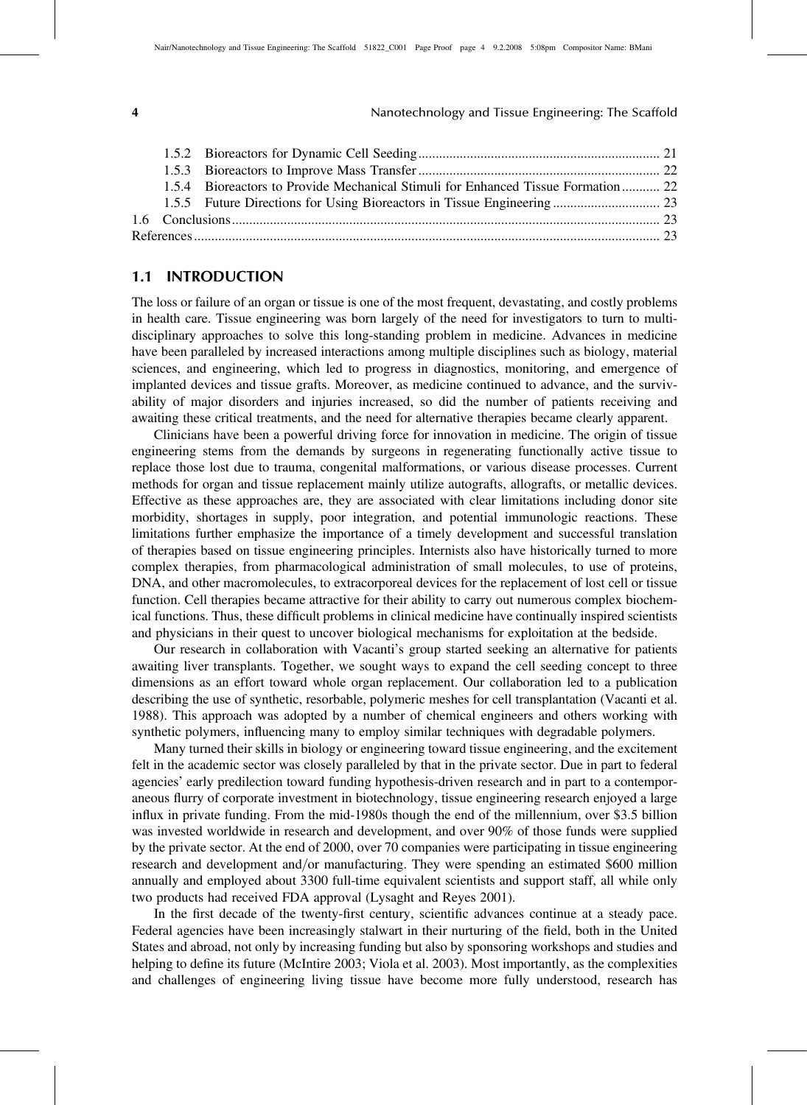|  | 1.5.4 Bioreactors to Provide Mechanical Stimuli for Enhanced Tissue Formation 22 |  |  |  |  |
|--|----------------------------------------------------------------------------------|--|--|--|--|
|  |                                                                                  |  |  |  |  |
|  |                                                                                  |  |  |  |  |
|  |                                                                                  |  |  |  |  |

## 1.1 INTRODUCTION

The loss or failure of an organ or tissue is one of the most frequent, devastating, and costly problems in health care. Tissue engineering was born largely of the need for investigators to turn to multidisciplinary approaches to solve this long-standing problem in medicine. Advances in medicine have been paralleled by increased interactions among multiple disciplines such as biology, material sciences, and engineering, which led to progress in diagnostics, monitoring, and emergence of implanted devices and tissue grafts. Moreover, as medicine continued to advance, and the survivability of major disorders and injuries increased, so did the number of patients receiving and awaiting these critical treatments, and the need for alternative therapies became clearly apparent.

Clinicians have been a powerful driving force for innovation in medicine. The origin of tissue engineering stems from the demands by surgeons in regenerating functionally active tissue to replace those lost due to trauma, congenital malformations, or various disease processes. Current methods for organ and tissue replacement mainly utilize autografts, allografts, or metallic devices. Effective as these approaches are, they are associated with clear limitations including donor site morbidity, shortages in supply, poor integration, and potential immunologic reactions. These limitations further emphasize the importance of a timely development and successful translation of therapies based on tissue engineering principles. Internists also have historically turned to more complex therapies, from pharmacological administration of small molecules, to use of proteins, DNA, and other macromolecules, to extracorporeal devices for the replacement of lost cell or tissue function. Cell therapies became attractive for their ability to carry out numerous complex biochemical functions. Thus, these difficult problems in clinical medicine have continually inspired scientists and physicians in their quest to uncover biological mechanisms for exploitation at the bedside.

Our research in collaboration with Vacanti's group started seeking an alternative for patients awaiting liver transplants. Together, we sought ways to expand the cell seeding concept to three dimensions as an effort toward whole organ replacement. Our collaboration led to a publication describing the use of synthetic, resorbable, polymeric meshes for cell transplantation (Vacanti et al. 1988). This approach was adopted by a number of chemical engineers and others working with synthetic polymers, influencing many to employ similar techniques with degradable polymers.

Many turned their skills in biology or engineering toward tissue engineering, and the excitement felt in the academic sector was closely paralleled by that in the private sector. Due in part to federal agencies' early predilection toward funding hypothesis-driven research and in part to a contemporaneous flurry of corporate investment in biotechnology, tissue engineering research enjoyed a large influx in private funding. From the mid-1980s though the end of the millennium, over \$3.5 billion was invested worldwide in research and development, and over 90% of those funds were supplied by the private sector. At the end of 2000, over 70 companies were participating in tissue engineering research and development and/or manufacturing. They were spending an estimated \$600 million annually and employed about 3300 full-time equivalent scientists and support staff, all while only two products had received FDA approval (Lysaght and Reyes 2001).

In the first decade of the twenty-first century, scientific advances continue at a steady pace. Federal agencies have been increasingly stalwart in their nurturing of the field, both in the United States and abroad, not only by increasing funding but also by sponsoring workshops and studies and helping to define its future (McIntire 2003; Viola et al. 2003). Most importantly, as the complexities and challenges of engineering living tissue have become more fully understood, research has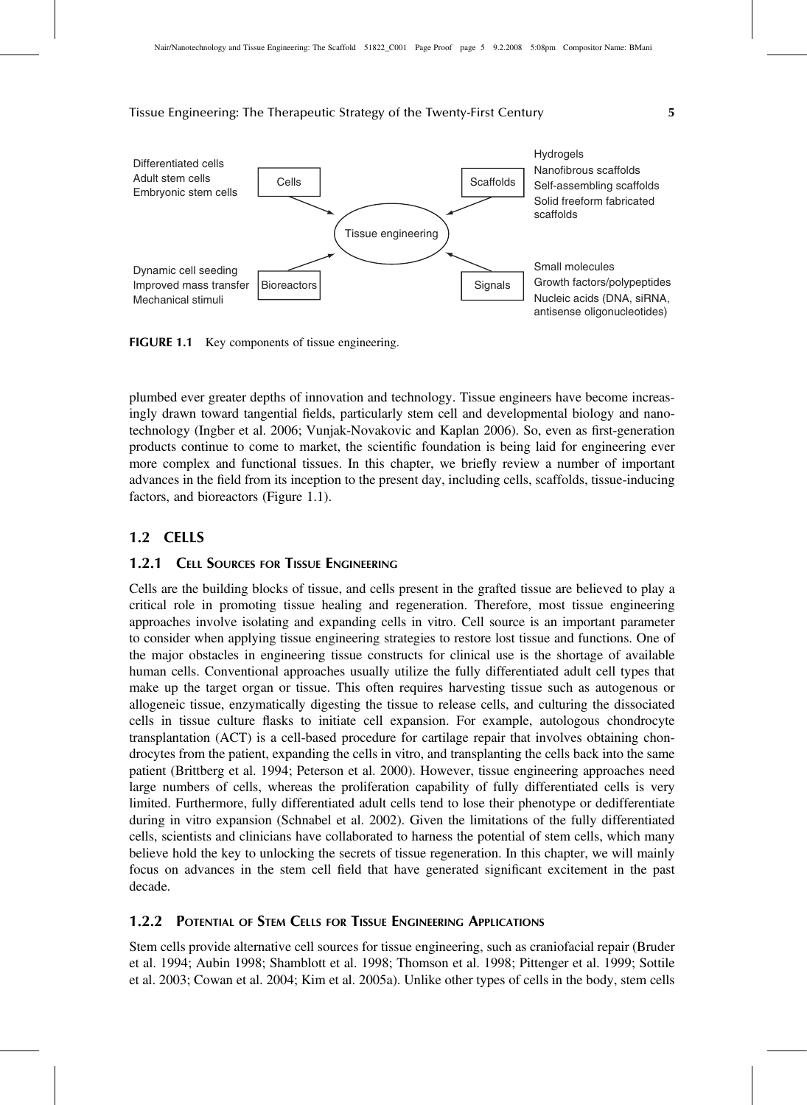

FIGURE 1.1 Key components of tissue engineering.

plumbed ever greater depths of innovation and technology. Tissue engineers have become increasingly drawn toward tangential fields, particularly stem cell and developmental biology and nanotechnology (Ingber et al. 2006; Vunjak-Novakovic and Kaplan 2006). So, even as first-generation products continue to come to market, the scientific foundation is being laid for engineering ever more complex and functional tissues. In this chapter, we briefly review a number of important advances in the field from its inception to the present day, including cells, scaffolds, tissue-inducing factors, and bioreactors (Figure 1.1).

# 1.2 CELLS

#### 1.2.1 CELL SOURCES FOR TISSUE ENGINEERING

Cells are the building blocks of tissue, and cells present in the grafted tissue are believed to play a critical role in promoting tissue healing and regeneration. Therefore, most tissue engineering approaches involve isolating and expanding cells in vitro. Cell source is an important parameter to consider when applying tissue engineering strategies to restore lost tissue and functions. One of the major obstacles in engineering tissue constructs for clinical use is the shortage of available human cells. Conventional approaches usually utilize the fully differentiated adult cell types that make up the target organ or tissue. This often requires harvesting tissue such as autogenous or allogeneic tissue, enzymatically digesting the tissue to release cells, and culturing the dissociated cells in tissue culture flasks to initiate cell expansion. For example, autologous chondrocyte transplantation (ACT) is a cell-based procedure for cartilage repair that involves obtaining chondrocytes from the patient, expanding the cells in vitro, and transplanting the cells back into the same patient (Brittberg et al. 1994; Peterson et al. 2000). However, tissue engineering approaches need large numbers of cells, whereas the proliferation capability of fully differentiated cells is very limited. Furthermore, fully differentiated adult cells tend to lose their phenotype or dedifferentiate during in vitro expansion (Schnabel et al. 2002). Given the limitations of the fully differentiated cells, scientists and clinicians have collaborated to harness the potential of stem cells, which many believe hold the key to unlocking the secrets of tissue regeneration. In this chapter, we will mainly focus on advances in the stem cell field that have generated significant excitement in the past decade.

## 1.2.2 POTENTIAL OF STEM CELLS FOR TISSUE ENGINEERING APPLICATIONS

Stem cells provide alternative cell sources for tissue engineering, such as craniofacial repair (Bruder et al. 1994; Aubin 1998; Shamblott et al. 1998; Thomson et al. 1998; Pittenger et al. 1999; Sottile et al. 2003; Cowan et al. 2004; Kim et al. 2005a). Unlike other types of cells in the body, stem cells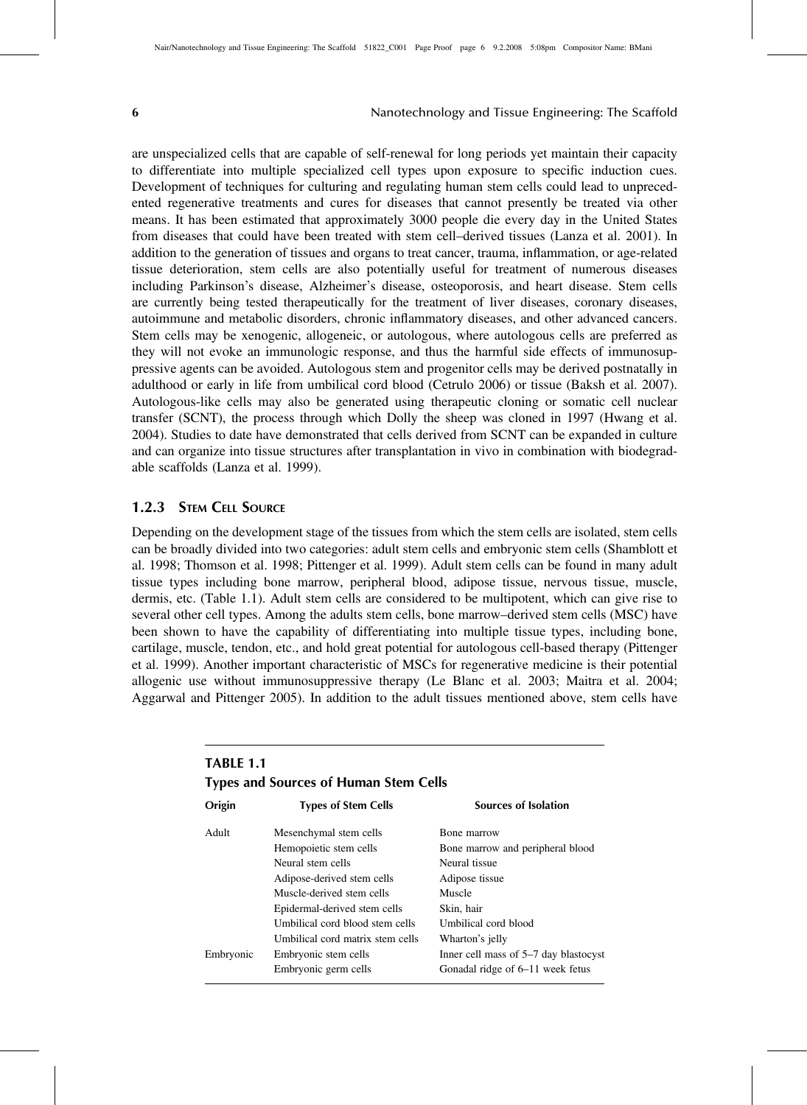are unspecialized cells that are capable of self-renewal for long periods yet maintain their capacity to differentiate into multiple specialized cell types upon exposure to specific induction cues. Development of techniques for culturing and regulating human stem cells could lead to unprecedented regenerative treatments and cures for diseases that cannot presently be treated via other means. It has been estimated that approximately 3000 people die every day in the United States from diseases that could have been treated with stem cell–derived tissues (Lanza et al. 2001). In addition to the generation of tissues and organs to treat cancer, trauma, inflammation, or age-related tissue deterioration, stem cells are also potentially useful for treatment of numerous diseases including Parkinson's disease, Alzheimer's disease, osteoporosis, and heart disease. Stem cells are currently being tested therapeutically for the treatment of liver diseases, coronary diseases, autoimmune and metabolic disorders, chronic inflammatory diseases, and other advanced cancers. Stem cells may be xenogenic, allogeneic, or autologous, where autologous cells are preferred as they will not evoke an immunologic response, and thus the harmful side effects of immunosuppressive agents can be avoided. Autologous stem and progenitor cells may be derived postnatally in adulthood or early in life from umbilical cord blood (Cetrulo 2006) or tissue (Baksh et al. 2007). Autologous-like cells may also be generated using therapeutic cloning or somatic cell nuclear transfer (SCNT), the process through which Dolly the sheep was cloned in 1997 (Hwang et al. 2004). Studies to date have demonstrated that cells derived from SCNT can be expanded in culture and can organize into tissue structures after transplantation in vivo in combination with biodegradable scaffolds (Lanza et al. 1999).

#### 1.2.3 STEM CELL SOURCE

Depending on the development stage of the tissues from which the stem cells are isolated, stem cells can be broadly divided into two categories: adult stem cells and embryonic stem cells (Shamblott et al. 1998; Thomson et al. 1998; Pittenger et al. 1999). Adult stem cells can be found in many adult tissue types including bone marrow, peripheral blood, adipose tissue, nervous tissue, muscle, dermis, etc. (Table 1.1). Adult stem cells are considered to be multipotent, which can give rise to several other cell types. Among the adults stem cells, bone marrow–derived stem cells (MSC) have been shown to have the capability of differentiating into multiple tissue types, including bone, cartilage, muscle, tendon, etc., and hold great potential for autologous cell-based therapy (Pittenger et al. 1999). Another important characteristic of MSCs for regenerative medicine is their potential allogenic use without immunosuppressive therapy (Le Blanc et al. 2003; Maitra et al. 2004; Aggarwal and Pittenger 2005). In addition to the adult tissues mentioned above, stem cells have

| <b>TABLE 1.1</b><br><b>Types and Sources of Human Stem Cells</b> |                                  |                                       |  |  |  |  |
|------------------------------------------------------------------|----------------------------------|---------------------------------------|--|--|--|--|
| Origin                                                           | <b>Types of Stem Cells</b>       | <b>Sources of Isolation</b>           |  |  |  |  |
| Adult                                                            | Mesenchymal stem cells           | Bone marrow                           |  |  |  |  |
|                                                                  | Hemopoietic stem cells           | Bone marrow and peripheral blood      |  |  |  |  |
|                                                                  | Neural stem cells                | Neural tissue                         |  |  |  |  |
|                                                                  | Adipose-derived stem cells       | Adipose tissue                        |  |  |  |  |
|                                                                  | Muscle-derived stem cells        | Muscle                                |  |  |  |  |
|                                                                  | Epidermal-derived stem cells     | Skin, hair                            |  |  |  |  |
|                                                                  | Umbilical cord blood stem cells  | Umbilical cord blood                  |  |  |  |  |
|                                                                  | Umbilical cord matrix stem cells | Wharton's jelly                       |  |  |  |  |
| Embryonic                                                        | Embryonic stem cells             | Inner cell mass of 5–7 day blastocyst |  |  |  |  |
|                                                                  | Embryonic germ cells             | Gonadal ridge of 6–11 week fetus      |  |  |  |  |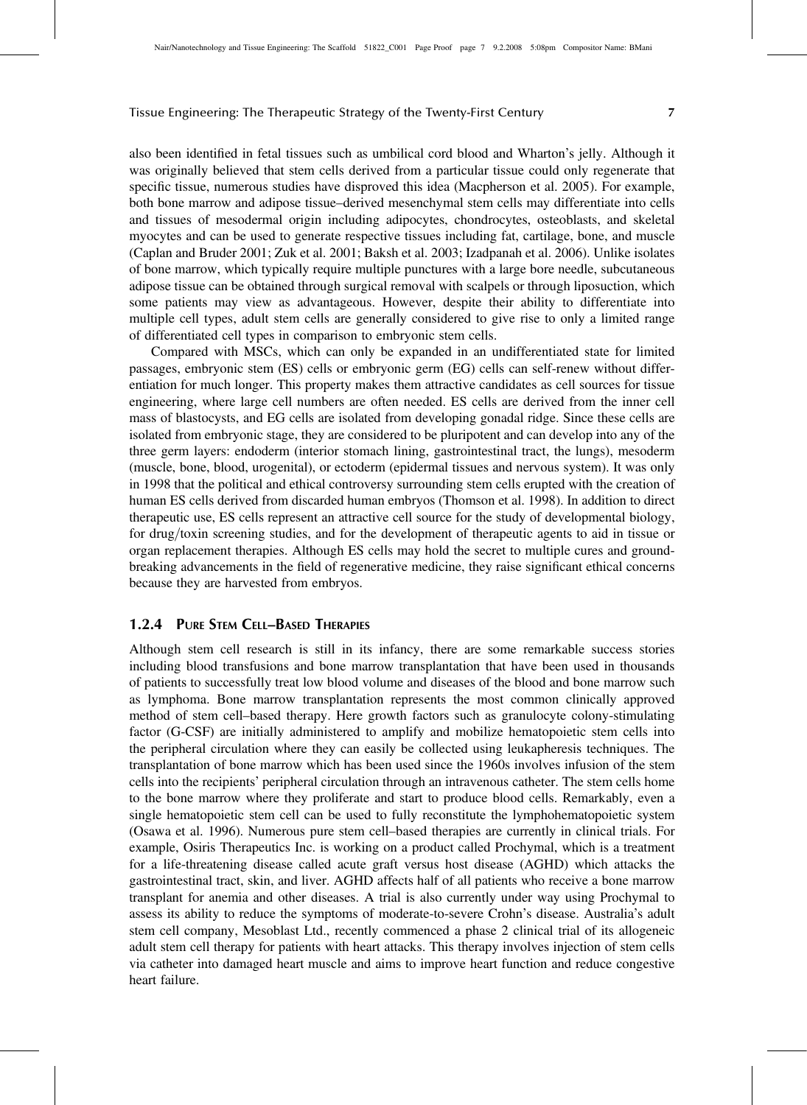also been identified in fetal tissues such as umbilical cord blood and Wharton's jelly. Although it was originally believed that stem cells derived from a particular tissue could only regenerate that specific tissue, numerous studies have disproved this idea (Macpherson et al. 2005). For example, both bone marrow and adipose tissue–derived mesenchymal stem cells may differentiate into cells and tissues of mesodermal origin including adipocytes, chondrocytes, osteoblasts, and skeletal myocytes and can be used to generate respective tissues including fat, cartilage, bone, and muscle (Caplan and Bruder 2001; Zuk et al. 2001; Baksh et al. 2003; Izadpanah et al. 2006). Unlike isolates of bone marrow, which typically require multiple punctures with a large bore needle, subcutaneous adipose tissue can be obtained through surgical removal with scalpels or through liposuction, which some patients may view as advantageous. However, despite their ability to differentiate into multiple cell types, adult stem cells are generally considered to give rise to only a limited range of differentiated cell types in comparison to embryonic stem cells.

Compared with MSCs, which can only be expanded in an undifferentiated state for limited passages, embryonic stem (ES) cells or embryonic germ (EG) cells can self-renew without differentiation for much longer. This property makes them attractive candidates as cell sources for tissue engineering, where large cell numbers are often needed. ES cells are derived from the inner cell mass of blastocysts, and EG cells are isolated from developing gonadal ridge. Since these cells are isolated from embryonic stage, they are considered to be pluripotent and can develop into any of the three germ layers: endoderm (interior stomach lining, gastrointestinal tract, the lungs), mesoderm (muscle, bone, blood, urogenital), or ectoderm (epidermal tissues and nervous system). It was only in 1998 that the political and ethical controversy surrounding stem cells erupted with the creation of human ES cells derived from discarded human embryos (Thomson et al. 1998). In addition to direct therapeutic use, ES cells represent an attractive cell source for the study of developmental biology, for drug/toxin screening studies, and for the development of therapeutic agents to aid in tissue or organ replacement therapies. Although ES cells may hold the secret to multiple cures and groundbreaking advancements in the field of regenerative medicine, they raise significant ethical concerns because they are harvested from embryos.

#### 1.2.4 PURE STEM CELL*–*BASED THERAPIES

Although stem cell research is still in its infancy, there are some remarkable success stories including blood transfusions and bone marrow transplantation that have been used in thousands of patients to successfully treat low blood volume and diseases of the blood and bone marrow such as lymphoma. Bone marrow transplantation represents the most common clinically approved method of stem cell–based therapy. Here growth factors such as granulocyte colony-stimulating factor (G-CSF) are initially administered to amplify and mobilize hematopoietic stem cells into the peripheral circulation where they can easily be collected using leukapheresis techniques. The transplantation of bone marrow which has been used since the 1960s involves infusion of the stem cells into the recipients' peripheral circulation through an intravenous catheter. The stem cells home to the bone marrow where they proliferate and start to produce blood cells. Remarkably, even a single hematopoietic stem cell can be used to fully reconstitute the lymphohematopoietic system (Osawa et al. 1996). Numerous pure stem cell–based therapies are currently in clinical trials. For example, Osiris Therapeutics Inc. is working on a product called Prochymal, which is a treatment for a life-threatening disease called acute graft versus host disease (AGHD) which attacks the gastrointestinal tract, skin, and liver. AGHD affects half of all patients who receive a bone marrow transplant for anemia and other diseases. A trial is also currently under way using Prochymal to assess its ability to reduce the symptoms of moderate-to-severe Crohn's disease. Australia's adult stem cell company, Mesoblast Ltd., recently commenced a phase 2 clinical trial of its allogeneic adult stem cell therapy for patients with heart attacks. This therapy involves injection of stem cells via catheter into damaged heart muscle and aims to improve heart function and reduce congestive heart failure.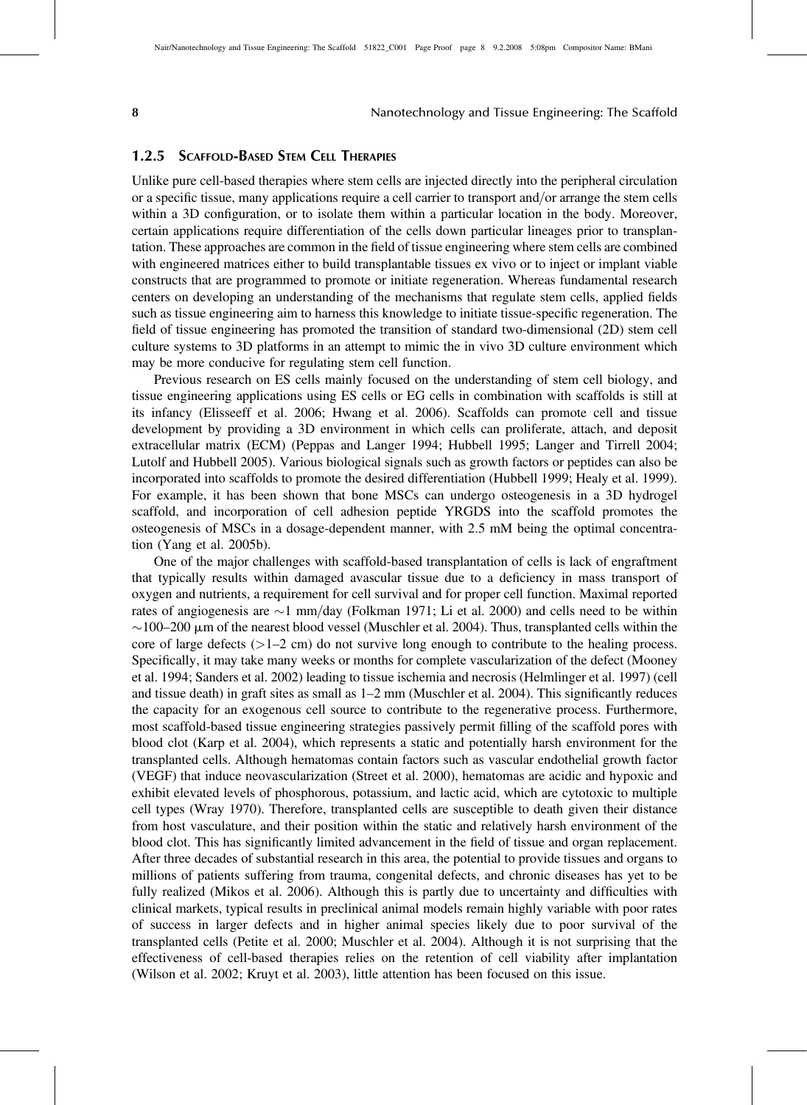# 1.2.5 SCAFFOLD-BASED STEM CELL THERAPIES

Unlike pure cell-based therapies where stem cells are injected directly into the peripheral circulation or a specific tissue, many applications require a cell carrier to transport and/or arrange the stem cells within a 3D configuration, or to isolate them within a particular location in the body. Moreover, certain applications require differentiation of the cells down particular lineages prior to transplantation. These approaches are common in the field of tissue engineering where stem cells are combined with engineered matrices either to build transplantable tissues ex vivo or to inject or implant viable constructs that are programmed to promote or initiate regeneration. Whereas fundamental research centers on developing an understanding of the mechanisms that regulate stem cells, applied fields such as tissue engineering aim to harness this knowledge to initiate tissue-specific regeneration. The field of tissue engineering has promoted the transition of standard two-dimensional (2D) stem cell culture systems to 3D platforms in an attempt to mimic the in vivo 3D culture environment which may be more conducive for regulating stem cell function.

Previous research on ES cells mainly focused on the understanding of stem cell biology, and tissue engineering applications using ES cells or EG cells in combination with scaffolds is still at its infancy (Elisseeff et al. 2006; Hwang et al. 2006). Scaffolds can promote cell and tissue development by providing a 3D environment in which cells can proliferate, attach, and deposit extracellular matrix (ECM) (Peppas and Langer 1994; Hubbell 1995; Langer and Tirrell 2004; Lutolf and Hubbell 2005). Various biological signals such as growth factors or peptides can also be incorporated into scaffolds to promote the desired differentiation (Hubbell 1999; Healy et al. 1999). For example, it has been shown that bone MSCs can undergo osteogenesis in a 3D hydrogel scaffold, and incorporation of cell adhesion peptide YRGDS into the scaffold promotes the osteogenesis of MSCs in a dosage-dependent manner, with 2.5 mM being the optimal concentration (Yang et al. 2005b).

One of the major challenges with scaffold-based transplantation of cells is lack of engraftment that typically results within damaged avascular tissue due to a deficiency in mass transport of oxygen and nutrients, a requirement for cell survival and for proper cell function. Maximal reported rates of angiogenesis are  $\sim$ 1 mm/day (Folkman 1971; Li et al. 2000) and cells need to be within  $\sim$ 100–200 µm of the nearest blood vessel (Muschler et al. 2004). Thus, transplanted cells within the core of large defects  $(>1-2$  cm) do not survive long enough to contribute to the healing process. Specifically, it may take many weeks or months for complete vascularization of the defect (Mooney et al. 1994; Sanders et al. 2002) leading to tissue ischemia and necrosis (Helmlinger et al. 1997) (cell and tissue death) in graft sites as small as 1–2 mm (Muschler et al. 2004). This significantly reduces the capacity for an exogenous cell source to contribute to the regenerative process. Furthermore, most scaffold-based tissue engineering strategies passively permit filling of the scaffold pores with blood clot (Karp et al. 2004), which represents a static and potentially harsh environment for the transplanted cells. Although hematomas contain factors such as vascular endothelial growth factor (VEGF) that induce neovascularization (Street et al. 2000), hematomas are acidic and hypoxic and exhibit elevated levels of phosphorous, potassium, and lactic acid, which are cytotoxic to multiple cell types (Wray 1970). Therefore, transplanted cells are susceptible to death given their distance from host vasculature, and their position within the static and relatively harsh environment of the blood clot. This has significantly limited advancement in the field of tissue and organ replacement. After three decades of substantial research in this area, the potential to provide tissues and organs to millions of patients suffering from trauma, congenital defects, and chronic diseases has yet to be fully realized (Mikos et al. 2006). Although this is partly due to uncertainty and difficulties with clinical markets, typical results in preclinical animal models remain highly variable with poor rates of success in larger defects and in higher animal species likely due to poor survival of the transplanted cells (Petite et al. 2000; Muschler et al. 2004). Although it is not surprising that the effectiveness of cell-based therapies relies on the retention of cell viability after implantation (Wilson et al. 2002; Kruyt et al. 2003), little attention has been focused on this issue.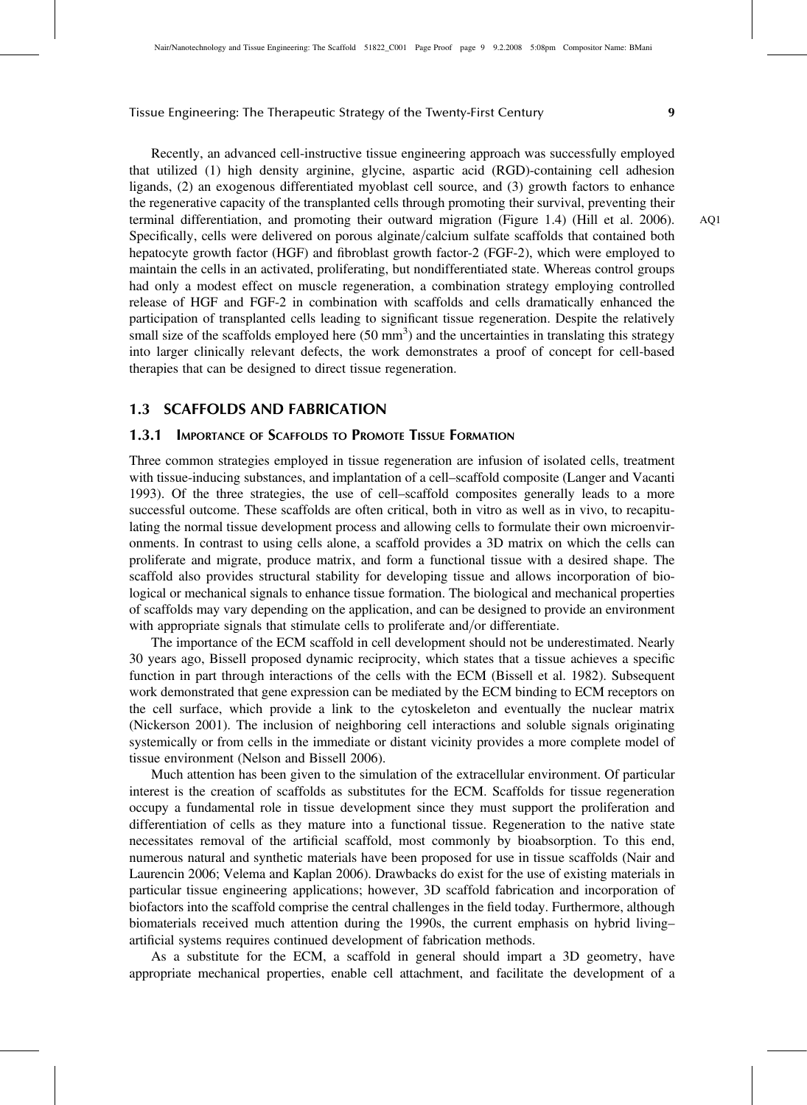Recently, an advanced cell-instructive tissue engineering approach was successfully employed that utilized (1) high density arginine, glycine, aspartic acid (RGD)-containing cell adhesion ligands, (2) an exogenous differentiated myoblast cell source, and (3) growth factors to enhance the regenerative capacity of the transplanted cells through promoting their survival, preventing their terminal differentiation, and promoting their outward migration (Figure 1.4) (Hill et al. 2006). AQ1 Specifically, cells were delivered on porous alginate/calcium sulfate scaffolds that contained both hepatocyte growth factor (HGF) and fibroblast growth factor-2 (FGF-2), which were employed to maintain the cells in an activated, proliferating, but nondifferentiated state. Whereas control groups had only a modest effect on muscle regeneration, a combination strategy employing controlled release of HGF and FGF-2 in combination with scaffolds and cells dramatically enhanced the participation of transplanted cells leading to significant tissue regeneration. Despite the relatively small size of the scaffolds employed here  $(50 \text{ mm}^3)$  and the uncertainties in translating this strategy into larger clinically relevant defects, the work demonstrates a proof of concept for cell-based therapies that can be designed to direct tissue regeneration.

## 1.3 SCAFFOLDS AND FABRICATION

# 1.3.1 IMPORTANCE OF SCAFFOLDS TO PROMOTE TISSUE FORMATION

Three common strategies employed in tissue regeneration are infusion of isolated cells, treatment with tissue-inducing substances, and implantation of a cell–scaffold composite (Langer and Vacanti 1993). Of the three strategies, the use of cell–scaffold composites generally leads to a more successful outcome. These scaffolds are often critical, both in vitro as well as in vivo, to recapitulating the normal tissue development process and allowing cells to formulate their own microenvironments. In contrast to using cells alone, a scaffold provides a 3D matrix on which the cells can proliferate and migrate, produce matrix, and form a functional tissue with a desired shape. The scaffold also provides structural stability for developing tissue and allows incorporation of biological or mechanical signals to enhance tissue formation. The biological and mechanical properties of scaffolds may vary depending on the application, and can be designed to provide an environment with appropriate signals that stimulate cells to proliferate and/or differentiate.

The importance of the ECM scaffold in cell development should not be underestimated. Nearly 30 years ago, Bissell proposed dynamic reciprocity, which states that a tissue achieves a specific function in part through interactions of the cells with the ECM (Bissell et al. 1982). Subsequent work demonstrated that gene expression can be mediated by the ECM binding to ECM receptors on the cell surface, which provide a link to the cytoskeleton and eventually the nuclear matrix (Nickerson 2001). The inclusion of neighboring cell interactions and soluble signals originating systemically or from cells in the immediate or distant vicinity provides a more complete model of tissue environment (Nelson and Bissell 2006).

Much attention has been given to the simulation of the extracellular environment. Of particular interest is the creation of scaffolds as substitutes for the ECM. Scaffolds for tissue regeneration occupy a fundamental role in tissue development since they must support the proliferation and differentiation of cells as they mature into a functional tissue. Regeneration to the native state necessitates removal of the artificial scaffold, most commonly by bioabsorption. To this end, numerous natural and synthetic materials have been proposed for use in tissue scaffolds (Nair and Laurencin 2006; Velema and Kaplan 2006). Drawbacks do exist for the use of existing materials in particular tissue engineering applications; however, 3D scaffold fabrication and incorporation of biofactors into the scaffold comprise the central challenges in the field today. Furthermore, although biomaterials received much attention during the 1990s, the current emphasis on hybrid living– artificial systems requires continued development of fabrication methods.

As a substitute for the ECM, a scaffold in general should impart a 3D geometry, have appropriate mechanical properties, enable cell attachment, and facilitate the development of a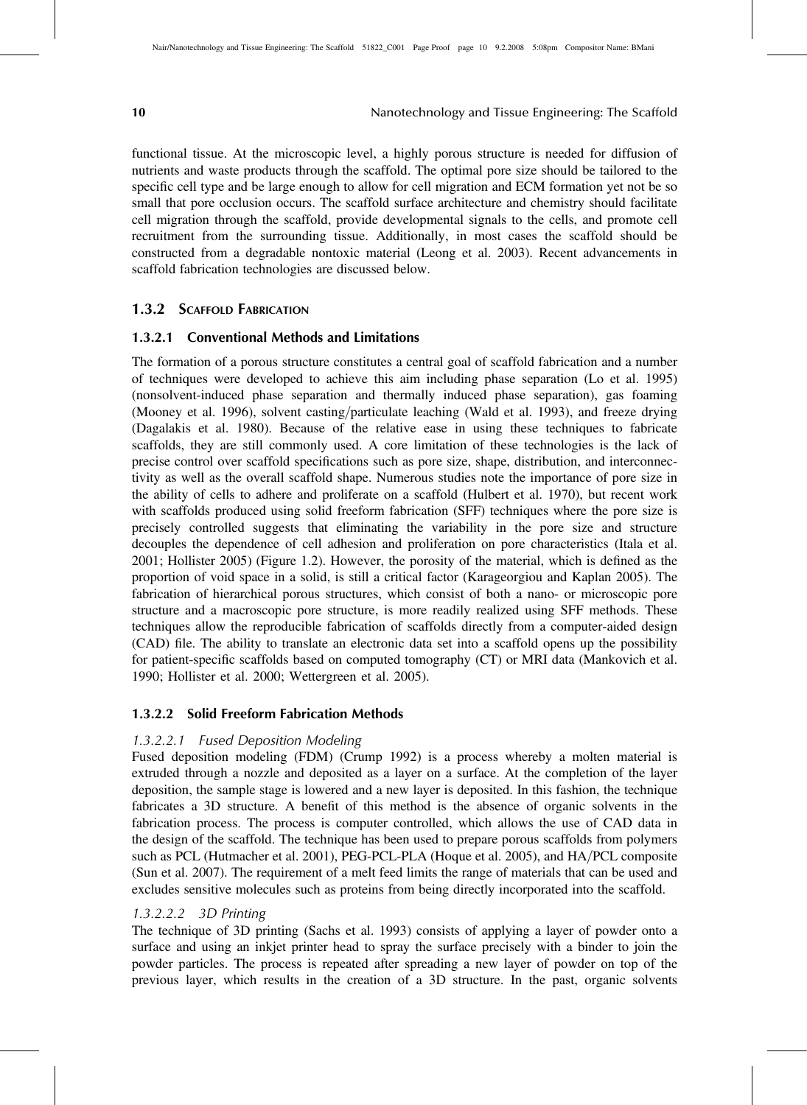functional tissue. At the microscopic level, a highly porous structure is needed for diffusion of nutrients and waste products through the scaffold. The optimal pore size should be tailored to the specific cell type and be large enough to allow for cell migration and ECM formation yet not be so small that pore occlusion occurs. The scaffold surface architecture and chemistry should facilitate cell migration through the scaffold, provide developmental signals to the cells, and promote cell recruitment from the surrounding tissue. Additionally, in most cases the scaffold should be constructed from a degradable nontoxic material (Leong et al. 2003). Recent advancements in scaffold fabrication technologies are discussed below.

### 1.3.2 SCAFFOLD FABRICATION

#### 1.3.2.1 Conventional Methods and Limitations

The formation of a porous structure constitutes a central goal of scaffold fabrication and a number of techniques were developed to achieve this aim including phase separation (Lo et al. 1995) (nonsolvent-induced phase separation and thermally induced phase separation), gas foaming (Mooney et al. 1996), solvent casting/particulate leaching (Wald et al. 1993), and freeze drying (Dagalakis et al. 1980). Because of the relative ease in using these techniques to fabricate scaffolds, they are still commonly used. A core limitation of these technologies is the lack of precise control over scaffold specifications such as pore size, shape, distribution, and interconnectivity as well as the overall scaffold shape. Numerous studies note the importance of pore size in the ability of cells to adhere and proliferate on a scaffold (Hulbert et al. 1970), but recent work with scaffolds produced using solid freeform fabrication (SFF) techniques where the pore size is precisely controlled suggests that eliminating the variability in the pore size and structure decouples the dependence of cell adhesion and proliferation on pore characteristics (Itala et al. 2001; Hollister 2005) (Figure 1.2). However, the porosity of the material, which is defined as the proportion of void space in a solid, is still a critical factor (Karageorgiou and Kaplan 2005). The fabrication of hierarchical porous structures, which consist of both a nano- or microscopic pore structure and a macroscopic pore structure, is more readily realized using SFF methods. These techniques allow the reproducible fabrication of scaffolds directly from a computer-aided design (CAD) file. The ability to translate an electronic data set into a scaffold opens up the possibility for patient-specific scaffolds based on computed tomography (CT) or MRI data (Mankovich et al. 1990; Hollister et al. 2000; Wettergreen et al. 2005).

#### 1.3.2.2 Solid Freeform Fabrication Methods

## 1.3.2.2.1 Fused Deposition Modeling

Fused deposition modeling (FDM) (Crump 1992) is a process whereby a molten material is extruded through a nozzle and deposited as a layer on a surface. At the completion of the layer deposition, the sample stage is lowered and a new layer is deposited. In this fashion, the technique fabricates a 3D structure. A benefit of this method is the absence of organic solvents in the fabrication process. The process is computer controlled, which allows the use of CAD data in the design of the scaffold. The technique has been used to prepare porous scaffolds from polymers such as PCL (Hutmacher et al. 2001), PEG-PCL-PLA (Hoque et al. 2005), and HA/PCL composite (Sun et al. 2007). The requirement of a melt feed limits the range of materials that can be used and excludes sensitive molecules such as proteins from being directly incorporated into the scaffold.

## 1.3.2.2.2 3D Printing

The technique of 3D printing (Sachs et al. 1993) consists of applying a layer of powder onto a surface and using an inkjet printer head to spray the surface precisely with a binder to join the powder particles. The process is repeated after spreading a new layer of powder on top of the previous layer, which results in the creation of a 3D structure. In the past, organic solvents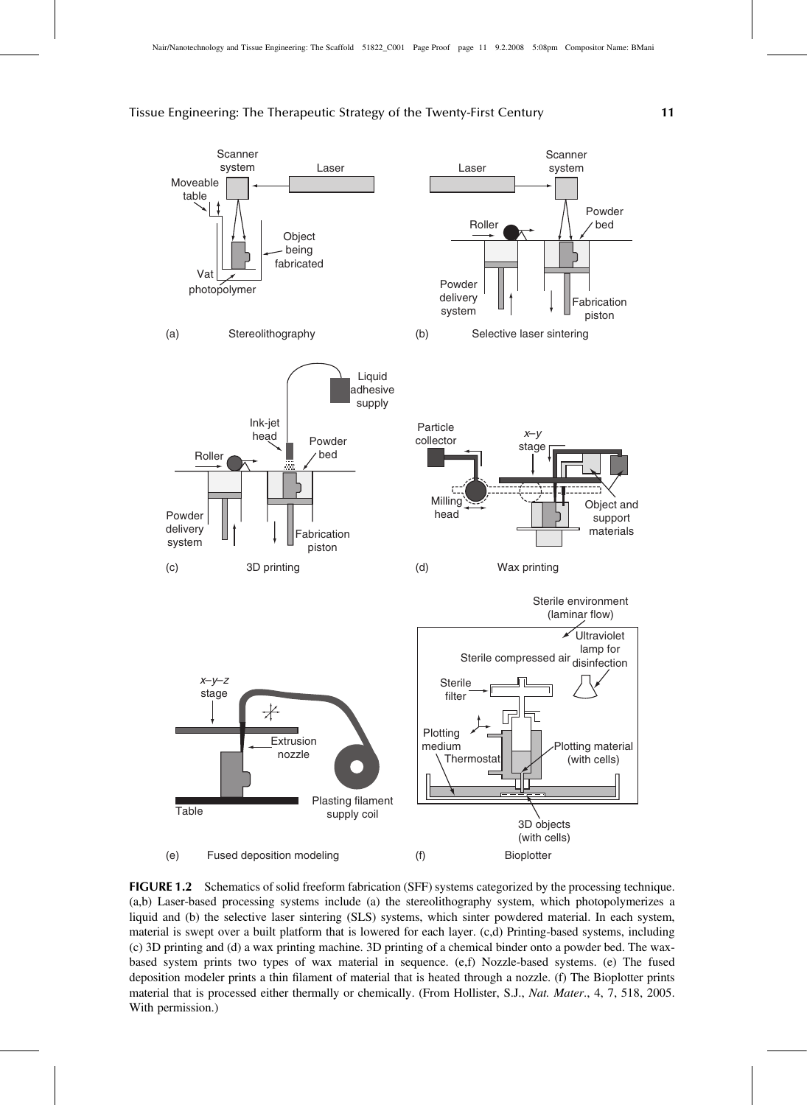

FIGURE 1.2 Schematics of solid freeform fabrication (SFF) systems categorized by the processing technique. (a,b) Laser-based processing systems include (a) the stereolithography system, which photopolymerizes a liquid and (b) the selective laser sintering (SLS) systems, which sinter powdered material. In each system, material is swept over a built platform that is lowered for each layer. (c,d) Printing-based systems, including (c) 3D printing and (d) a wax printing machine. 3D printing of a chemical binder onto a powder bed. The waxbased system prints two types of wax material in sequence. (e,f) Nozzle-based systems. (e) The fused deposition modeler prints a thin filament of material that is heated through a nozzle. (f) The Bioplotter prints material that is processed either thermally or chemically. (From Hollister, S.J., Nat. Mater., 4, 7, 518, 2005. With permission.)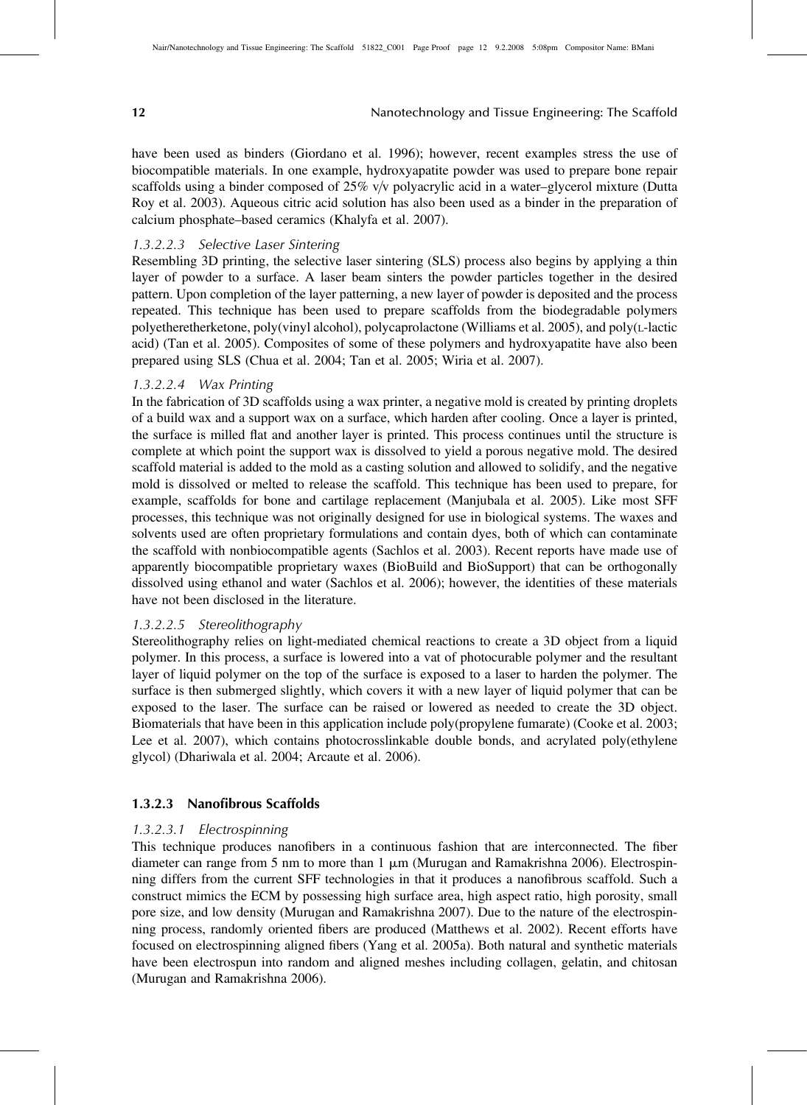have been used as binders (Giordano et al. 1996); however, recent examples stress the use of biocompatible materials. In one example, hydroxyapatite powder was used to prepare bone repair scaffolds using a binder composed of  $25\%$  v/v polyacrylic acid in a water–glycerol mixture (Dutta Roy et al. 2003). Aqueous citric acid solution has also been used as a binder in the preparation of calcium phosphate–based ceramics (Khalyfa et al. 2007).

## 1.3.2.2.3 Selective Laser Sintering

Resembling 3D printing, the selective laser sintering (SLS) process also begins by applying a thin layer of powder to a surface. A laser beam sinters the powder particles together in the desired pattern. Upon completion of the layer patterning, a new layer of powder is deposited and the process repeated. This technique has been used to prepare scaffolds from the biodegradable polymers polyetheretherketone, poly(vinyl alcohol), polycaprolactone (Williams et al. 2005), and poly(L-lactic acid) (Tan et al. 2005). Composites of some of these polymers and hydroxyapatite have also been prepared using SLS (Chua et al. 2004; Tan et al. 2005; Wiria et al. 2007).

#### 1.3.2.2.4 Wax Printing

In the fabrication of 3D scaffolds using a wax printer, a negative mold is created by printing droplets of a build wax and a support wax on a surface, which harden after cooling. Once a layer is printed, the surface is milled flat and another layer is printed. This process continues until the structure is complete at which point the support wax is dissolved to yield a porous negative mold. The desired scaffold material is added to the mold as a casting solution and allowed to solidify, and the negative mold is dissolved or melted to release the scaffold. This technique has been used to prepare, for example, scaffolds for bone and cartilage replacement (Manjubala et al. 2005). Like most SFF processes, this technique was not originally designed for use in biological systems. The waxes and solvents used are often proprietary formulations and contain dyes, both of which can contaminate the scaffold with nonbiocompatible agents (Sachlos et al. 2003). Recent reports have made use of apparently biocompatible proprietary waxes (BioBuild and BioSupport) that can be orthogonally dissolved using ethanol and water (Sachlos et al. 2006); however, the identities of these materials have not been disclosed in the literature.

## 1.3.2.2.5 Stereolithography

Stereolithography relies on light-mediated chemical reactions to create a 3D object from a liquid polymer. In this process, a surface is lowered into a vat of photocurable polymer and the resultant layer of liquid polymer on the top of the surface is exposed to a laser to harden the polymer. The surface is then submerged slightly, which covers it with a new layer of liquid polymer that can be exposed to the laser. The surface can be raised or lowered as needed to create the 3D object. Biomaterials that have been in this application include poly(propylene fumarate) (Cooke et al. 2003; Lee et al. 2007), which contains photocrosslinkable double bonds, and acrylated poly(ethylene glycol) (Dhariwala et al. 2004; Arcaute et al. 2006).

#### 1.3.2.3 Nanofibrous Scaffolds

## 1.3.2.3.1 Electrospinning

This technique produces nanofibers in a continuous fashion that are interconnected. The fiber diameter can range from 5 nm to more than  $1 \mu m$  (Murugan and Ramakrishna 2006). Electrospinning differs from the current SFF technologies in that it produces a nanofibrous scaffold. Such a construct mimics the ECM by possessing high surface area, high aspect ratio, high porosity, small pore size, and low density (Murugan and Ramakrishna 2007). Due to the nature of the electrospinning process, randomly oriented fibers are produced (Matthews et al. 2002). Recent efforts have focused on electrospinning aligned fibers (Yang et al. 2005a). Both natural and synthetic materials have been electrospun into random and aligned meshes including collagen, gelatin, and chitosan (Murugan and Ramakrishna 2006).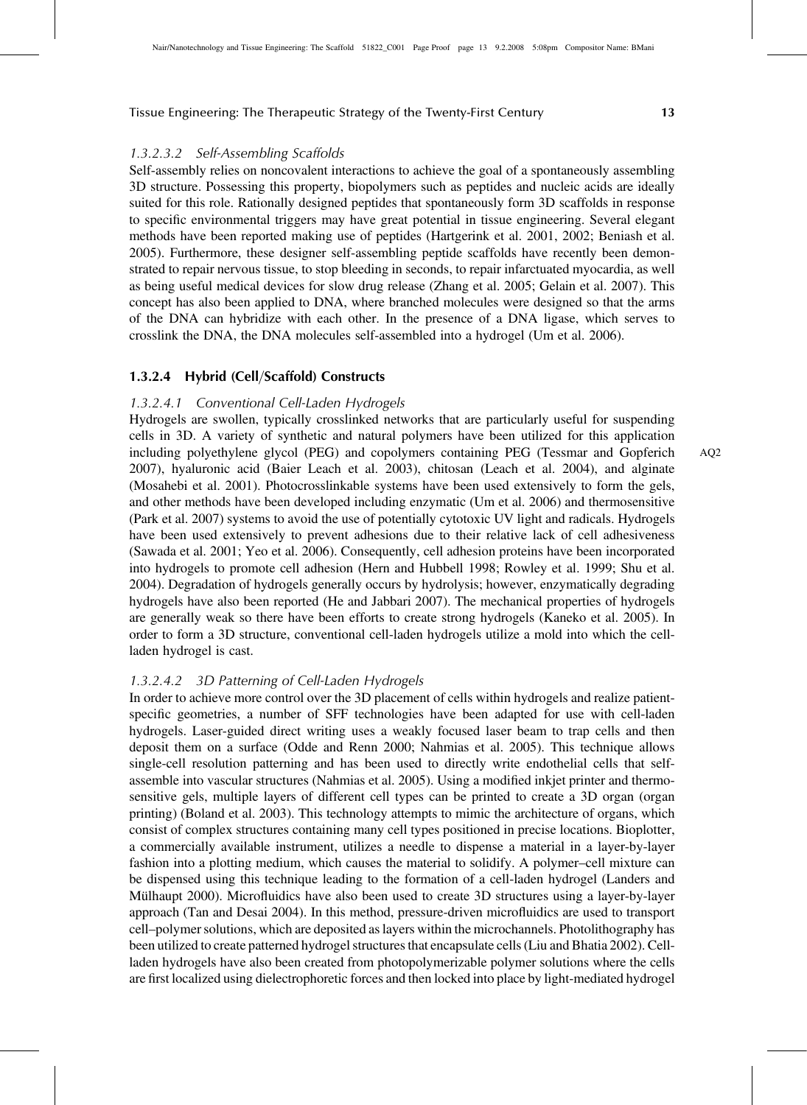## 1.3.2.3.2 Self-Assembling Scaffolds

Self-assembly relies on noncovalent interactions to achieve the goal of a spontaneously assembling 3D structure. Possessing this property, biopolymers such as peptides and nucleic acids are ideally suited for this role. Rationally designed peptides that spontaneously form 3D scaffolds in response to specific environmental triggers may have great potential in tissue engineering. Several elegant methods have been reported making use of peptides (Hartgerink et al. 2001, 2002; Beniash et al. 2005). Furthermore, these designer self-assembling peptide scaffolds have recently been demonstrated to repair nervous tissue, to stop bleeding in seconds, to repair infarctuated myocardia, as well as being useful medical devices for slow drug release (Zhang et al. 2005; Gelain et al. 2007). This concept has also been applied to DNA, where branched molecules were designed so that the arms of the DNA can hybridize with each other. In the presence of a DNA ligase, which serves to crosslink the DNA, the DNA molecules self-assembled into a hydrogel (Um et al. 2006).

# 1.3.2.4 Hybrid (Cell/Scaffold) Constructs

#### 1.3.2.4.1 Conventional Cell-Laden Hydrogels

Hydrogels are swollen, typically crosslinked networks that are particularly useful for suspending cells in 3D. A variety of synthetic and natural polymers have been utilized for this application including polyethylene glycol (PEG) and copolymers containing PEG (Tessmar and Gopferich AQ2 2007), hyaluronic acid (Baier Leach et al. 2003), chitosan (Leach et al. 2004), and alginate (Mosahebi et al. 2001). Photocrosslinkable systems have been used extensively to form the gels, and other methods have been developed including enzymatic (Um et al. 2006) and thermosensitive (Park et al. 2007) systems to avoid the use of potentially cytotoxic UV light and radicals. Hydrogels have been used extensively to prevent adhesions due to their relative lack of cell adhesiveness (Sawada et al. 2001; Yeo et al. 2006). Consequently, cell adhesion proteins have been incorporated into hydrogels to promote cell adhesion (Hern and Hubbell 1998; Rowley et al. 1999; Shu et al. 2004). Degradation of hydrogels generally occurs by hydrolysis; however, enzymatically degrading hydrogels have also been reported (He and Jabbari 2007). The mechanical properties of hydrogels are generally weak so there have been efforts to create strong hydrogels (Kaneko et al. 2005). In order to form a 3D structure, conventional cell-laden hydrogels utilize a mold into which the cellladen hydrogel is cast.

#### 1.3.2.4.2 3D Patterning of Cell-Laden Hydrogels

In order to achieve more control over the 3D placement of cells within hydrogels and realize patientspecific geometries, a number of SFF technologies have been adapted for use with cell-laden hydrogels. Laser-guided direct writing uses a weakly focused laser beam to trap cells and then deposit them on a surface (Odde and Renn 2000; Nahmias et al. 2005). This technique allows single-cell resolution patterning and has been used to directly write endothelial cells that selfassemble into vascular structures (Nahmias et al. 2005). Using a modified inkjet printer and thermosensitive gels, multiple layers of different cell types can be printed to create a 3D organ (organ printing) (Boland et al. 2003). This technology attempts to mimic the architecture of organs, which consist of complex structures containing many cell types positioned in precise locations. Bioplotter, a commercially available instrument, utilizes a needle to dispense a material in a layer-by-layer fashion into a plotting medium, which causes the material to solidify. A polymer–cell mixture can be dispensed using this technique leading to the formation of a cell-laden hydrogel (Landers and Mülhaupt 2000). Microfluidics have also been used to create 3D structures using a layer-by-layer approach (Tan and Desai 2004). In this method, pressure-driven microfluidics are used to transport cell–polymer solutions, which are deposited as layers within the microchannels. Photolithography has been utilized to create patterned hydrogel structures that encapsulate cells (Liu and Bhatia 2002). Cellladen hydrogels have also been created from photopolymerizable polymer solutions where the cells are first localized using dielectrophoretic forces and then locked into place by light-mediated hydrogel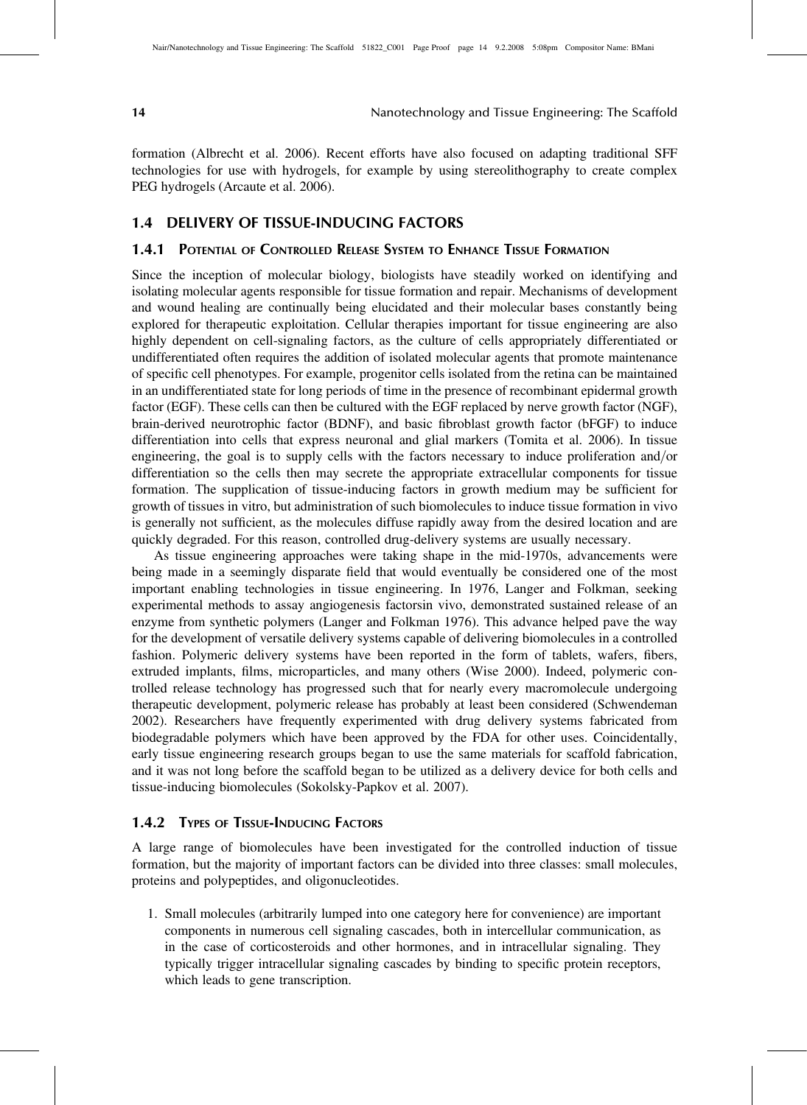formation (Albrecht et al. 2006). Recent efforts have also focused on adapting traditional SFF technologies for use with hydrogels, for example by using stereolithography to create complex PEG hydrogels (Arcaute et al. 2006).

# 1.4 DELIVERY OF TISSUE-INDUCING FACTORS

#### 1.4.1 POTENTIAL OF CONTROLLED RELEASE SYSTEM TO ENHANCE TISSUE FORMATION

Since the inception of molecular biology, biologists have steadily worked on identifying and isolating molecular agents responsible for tissue formation and repair. Mechanisms of development and wound healing are continually being elucidated and their molecular bases constantly being explored for therapeutic exploitation. Cellular therapies important for tissue engineering are also highly dependent on cell-signaling factors, as the culture of cells appropriately differentiated or undifferentiated often requires the addition of isolated molecular agents that promote maintenance of specific cell phenotypes. For example, progenitor cells isolated from the retina can be maintained in an undifferentiated state for long periods of time in the presence of recombinant epidermal growth factor (EGF). These cells can then be cultured with the EGF replaced by nerve growth factor (NGF), brain-derived neurotrophic factor (BDNF), and basic fibroblast growth factor (bFGF) to induce differentiation into cells that express neuronal and glial markers (Tomita et al. 2006). In tissue engineering, the goal is to supply cells with the factors necessary to induce proliferation and/or differentiation so the cells then may secrete the appropriate extracellular components for tissue formation. The supplication of tissue-inducing factors in growth medium may be sufficient for growth of tissues in vitro, but administration of such biomolecules to induce tissue formation in vivo is generally not sufficient, as the molecules diffuse rapidly away from the desired location and are quickly degraded. For this reason, controlled drug-delivery systems are usually necessary.

As tissue engineering approaches were taking shape in the mid-1970s, advancements were being made in a seemingly disparate field that would eventually be considered one of the most important enabling technologies in tissue engineering. In 1976, Langer and Folkman, seeking experimental methods to assay angiogenesis factorsin vivo, demonstrated sustained release of an enzyme from synthetic polymers (Langer and Folkman 1976). This advance helped pave the way for the development of versatile delivery systems capable of delivering biomolecules in a controlled fashion. Polymeric delivery systems have been reported in the form of tablets, wafers, fibers, extruded implants, films, microparticles, and many others (Wise 2000). Indeed, polymeric controlled release technology has progressed such that for nearly every macromolecule undergoing therapeutic development, polymeric release has probably at least been considered (Schwendeman 2002). Researchers have frequently experimented with drug delivery systems fabricated from biodegradable polymers which have been approved by the FDA for other uses. Coincidentally, early tissue engineering research groups began to use the same materials for scaffold fabrication, and it was not long before the scaffold began to be utilized as a delivery device for both cells and tissue-inducing biomolecules (Sokolsky-Papkov et al. 2007).

## 1.4.2 TYPES OF TISSUE-INDUCING FACTORS

A large range of biomolecules have been investigated for the controlled induction of tissue formation, but the majority of important factors can be divided into three classes: small molecules, proteins and polypeptides, and oligonucleotides.

1. Small molecules (arbitrarily lumped into one category here for convenience) are important components in numerous cell signaling cascades, both in intercellular communication, as in the case of corticosteroids and other hormones, and in intracellular signaling. They typically trigger intracellular signaling cascades by binding to specific protein receptors, which leads to gene transcription.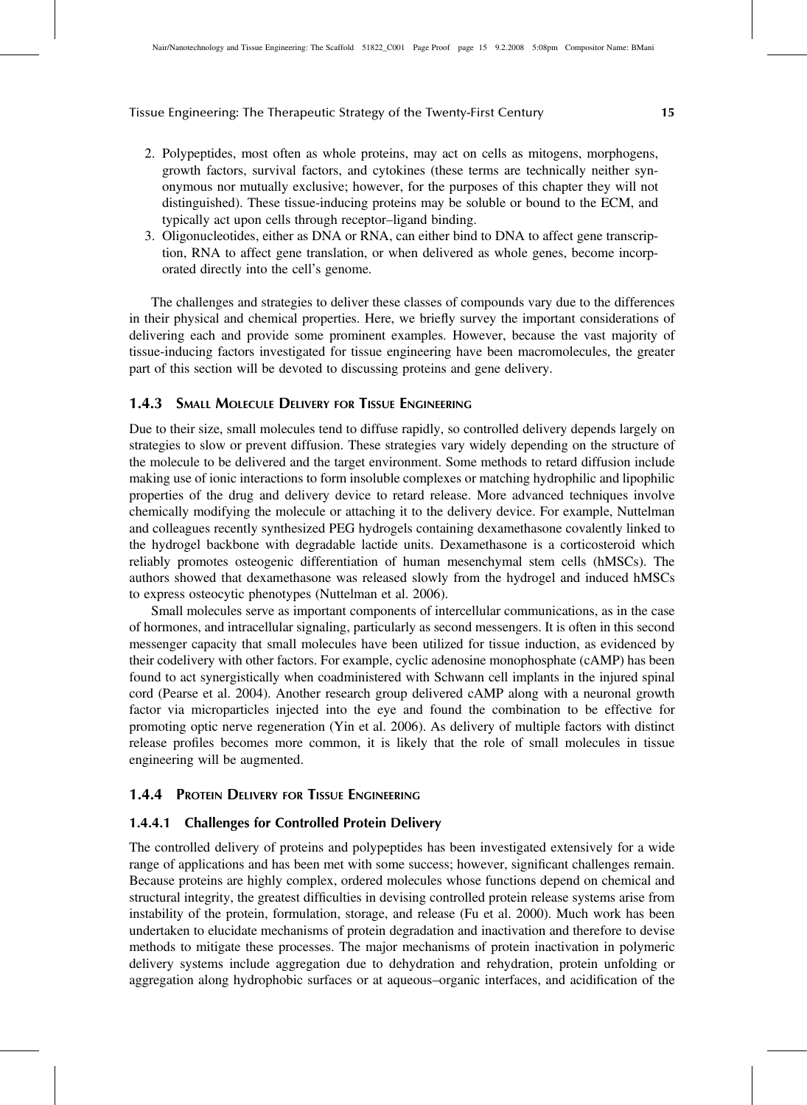- 2. Polypeptides, most often as whole proteins, may act on cells as mitogens, morphogens, growth factors, survival factors, and cytokines (these terms are technically neither synonymous nor mutually exclusive; however, for the purposes of this chapter they will not distinguished). These tissue-inducing proteins may be soluble or bound to the ECM, and typically act upon cells through receptor–ligand binding.
- 3. Oligonucleotides, either as DNA or RNA, can either bind to DNA to affect gene transcription, RNA to affect gene translation, or when delivered as whole genes, become incorporated directly into the cell's genome.

The challenges and strategies to deliver these classes of compounds vary due to the differences in their physical and chemical properties. Here, we briefly survey the important considerations of delivering each and provide some prominent examples. However, because the vast majority of tissue-inducing factors investigated for tissue engineering have been macromolecules, the greater part of this section will be devoted to discussing proteins and gene delivery.

#### 1.4.3 SMALL MOLECULE DELIVERY FOR TISSUE ENGINEERING

Due to their size, small molecules tend to diffuse rapidly, so controlled delivery depends largely on strategies to slow or prevent diffusion. These strategies vary widely depending on the structure of the molecule to be delivered and the target environment. Some methods to retard diffusion include making use of ionic interactions to form insoluble complexes or matching hydrophilic and lipophilic properties of the drug and delivery device to retard release. More advanced techniques involve chemically modifying the molecule or attaching it to the delivery device. For example, Nuttelman and colleagues recently synthesized PEG hydrogels containing dexamethasone covalently linked to the hydrogel backbone with degradable lactide units. Dexamethasone is a corticosteroid which reliably promotes osteogenic differentiation of human mesenchymal stem cells (hMSCs). The authors showed that dexamethasone was released slowly from the hydrogel and induced hMSCs to express osteocytic phenotypes (Nuttelman et al. 2006).

Small molecules serve as important components of intercellular communications, as in the case of hormones, and intracellular signaling, particularly as second messengers. It is often in this second messenger capacity that small molecules have been utilized for tissue induction, as evidenced by their codelivery with other factors. For example, cyclic adenosine monophosphate (cAMP) has been found to act synergistically when coadministered with Schwann cell implants in the injured spinal cord (Pearse et al. 2004). Another research group delivered cAMP along with a neuronal growth factor via microparticles injected into the eye and found the combination to be effective for promoting optic nerve regeneration (Yin et al. 2006). As delivery of multiple factors with distinct release profiles becomes more common, it is likely that the role of small molecules in tissue engineering will be augmented.

## 1.4.4 PROTEIN DELIVERY FOR TISSUE ENGINEERING

# 1.4.4.1 Challenges for Controlled Protein Delivery

The controlled delivery of proteins and polypeptides has been investigated extensively for a wide range of applications and has been met with some success; however, significant challenges remain. Because proteins are highly complex, ordered molecules whose functions depend on chemical and structural integrity, the greatest difficulties in devising controlled protein release systems arise from instability of the protein, formulation, storage, and release (Fu et al. 2000). Much work has been undertaken to elucidate mechanisms of protein degradation and inactivation and therefore to devise methods to mitigate these processes. The major mechanisms of protein inactivation in polymeric delivery systems include aggregation due to dehydration and rehydration, protein unfolding or aggregation along hydrophobic surfaces or at aqueous–organic interfaces, and acidification of the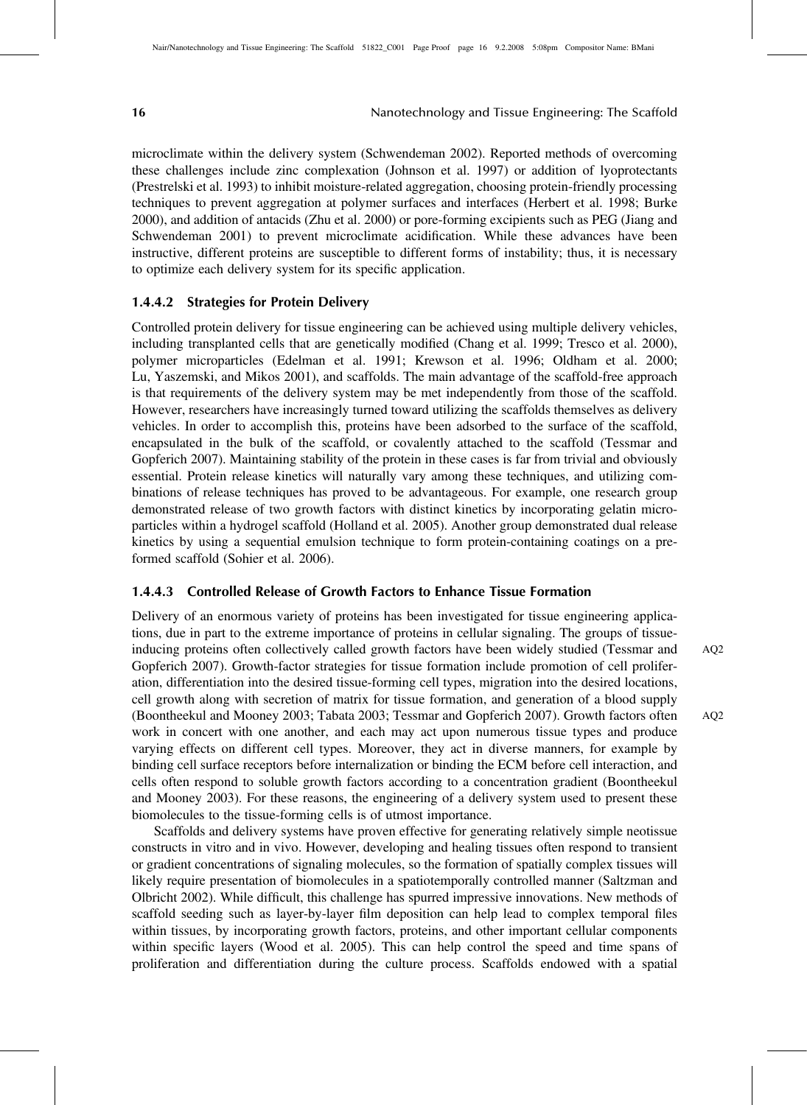microclimate within the delivery system (Schwendeman 2002). Reported methods of overcoming these challenges include zinc complexation (Johnson et al. 1997) or addition of lyoprotectants (Prestrelski et al. 1993) to inhibit moisture-related aggregation, choosing protein-friendly processing techniques to prevent aggregation at polymer surfaces and interfaces (Herbert et al. 1998; Burke 2000), and addition of antacids (Zhu et al. 2000) or pore-forming excipients such as PEG (Jiang and Schwendeman 2001) to prevent microclimate acidification. While these advances have been instructive, different proteins are susceptible to different forms of instability; thus, it is necessary to optimize each delivery system for its specific application.

### 1.4.4.2 Strategies for Protein Delivery

Controlled protein delivery for tissue engineering can be achieved using multiple delivery vehicles, including transplanted cells that are genetically modified (Chang et al. 1999; Tresco et al. 2000), polymer microparticles (Edelman et al. 1991; Krewson et al. 1996; Oldham et al. 2000; Lu, Yaszemski, and Mikos 2001), and scaffolds. The main advantage of the scaffold-free approach is that requirements of the delivery system may be met independently from those of the scaffold. However, researchers have increasingly turned toward utilizing the scaffolds themselves as delivery vehicles. In order to accomplish this, proteins have been adsorbed to the surface of the scaffold, encapsulated in the bulk of the scaffold, or covalently attached to the scaffold (Tessmar and Gopferich 2007). Maintaining stability of the protein in these cases is far from trivial and obviously essential. Protein release kinetics will naturally vary among these techniques, and utilizing combinations of release techniques has proved to be advantageous. For example, one research group demonstrated release of two growth factors with distinct kinetics by incorporating gelatin microparticles within a hydrogel scaffold (Holland et al. 2005). Another group demonstrated dual release kinetics by using a sequential emulsion technique to form protein-containing coatings on a preformed scaffold (Sohier et al. 2006).

#### 1.4.4.3 Controlled Release of Growth Factors to Enhance Tissue Formation

Delivery of an enormous variety of proteins has been investigated for tissue engineering applications, due in part to the extreme importance of proteins in cellular signaling. The groups of tissueinducing proteins often collectively called growth factors have been widely studied (Tessmar and AQ2 Gopferich 2007). Growth-factor strategies for tissue formation include promotion of cell proliferation, differentiation into the desired tissue-forming cell types, migration into the desired locations, cell growth along with secretion of matrix for tissue formation, and generation of a blood supply (Boontheekul and Mooney 2003; Tabata 2003; Tessmar and Gopferich 2007). Growth factors often AQ2 work in concert with one another, and each may act upon numerous tissue types and produce varying effects on different cell types. Moreover, they act in diverse manners, for example by binding cell surface receptors before internalization or binding the ECM before cell interaction, and cells often respond to soluble growth factors according to a concentration gradient (Boontheekul and Mooney 2003). For these reasons, the engineering of a delivery system used to present these biomolecules to the tissue-forming cells is of utmost importance.

Scaffolds and delivery systems have proven effective for generating relatively simple neotissue constructs in vitro and in vivo. However, developing and healing tissues often respond to transient or gradient concentrations of signaling molecules, so the formation of spatially complex tissues will likely require presentation of biomolecules in a spatiotemporally controlled manner (Saltzman and Olbricht 2002). While difficult, this challenge has spurred impressive innovations. New methods of scaffold seeding such as layer-by-layer film deposition can help lead to complex temporal files within tissues, by incorporating growth factors, proteins, and other important cellular components within specific layers (Wood et al. 2005). This can help control the speed and time spans of proliferation and differentiation during the culture process. Scaffolds endowed with a spatial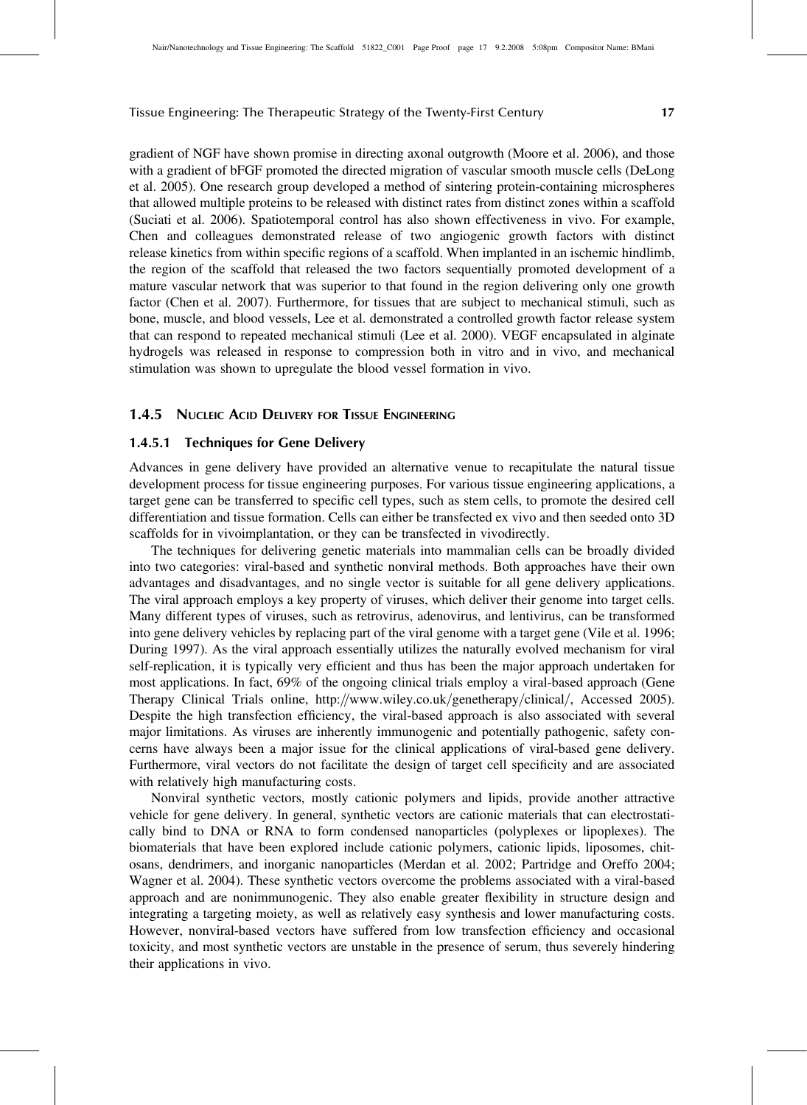gradient of NGF have shown promise in directing axonal outgrowth (Moore et al. 2006), and those with a gradient of bFGF promoted the directed migration of vascular smooth muscle cells (DeLong et al. 2005). One research group developed a method of sintering protein-containing microspheres that allowed multiple proteins to be released with distinct rates from distinct zones within a scaffold (Suciati et al. 2006). Spatiotemporal control has also shown effectiveness in vivo. For example, Chen and colleagues demonstrated release of two angiogenic growth factors with distinct release kinetics from within specific regions of a scaffold. When implanted in an ischemic hindlimb, the region of the scaffold that released the two factors sequentially promoted development of a mature vascular network that was superior to that found in the region delivering only one growth factor (Chen et al. 2007). Furthermore, for tissues that are subject to mechanical stimuli, such as bone, muscle, and blood vessels, Lee et al. demonstrated a controlled growth factor release system that can respond to repeated mechanical stimuli (Lee et al. 2000). VEGF encapsulated in alginate hydrogels was released in response to compression both in vitro and in vivo, and mechanical stimulation was shown to upregulate the blood vessel formation in vivo.

## 1.4.5 NUCLEIC ACID DELIVERY FOR TISSUE ENGINEERING

## 1.4.5.1 Techniques for Gene Delivery

Advances in gene delivery have provided an alternative venue to recapitulate the natural tissue development process for tissue engineering purposes. For various tissue engineering applications, a target gene can be transferred to specific cell types, such as stem cells, to promote the desired cell differentiation and tissue formation. Cells can either be transfected ex vivo and then seeded onto 3D scaffolds for in vivoimplantation, or they can be transfected in vivodirectly.

The techniques for delivering genetic materials into mammalian cells can be broadly divided into two categories: viral-based and synthetic nonviral methods. Both approaches have their own advantages and disadvantages, and no single vector is suitable for all gene delivery applications. The viral approach employs a key property of viruses, which deliver their genome into target cells. Many different types of viruses, such as retrovirus, adenovirus, and lentivirus, can be transformed into gene delivery vehicles by replacing part of the viral genome with a target gene (Vile et al. 1996; During 1997). As the viral approach essentially utilizes the naturally evolved mechanism for viral self-replication, it is typically very efficient and thus has been the major approach undertaken for most applications. In fact, 69% of the ongoing clinical trials employ a viral-based approach (Gene Therapy Clinical Trials online, http://www.wiley.co.uk/genetherapy/clinical/, Accessed 2005). Despite the high transfection efficiency, the viral-based approach is also associated with several major limitations. As viruses are inherently immunogenic and potentially pathogenic, safety concerns have always been a major issue for the clinical applications of viral-based gene delivery. Furthermore, viral vectors do not facilitate the design of target cell specificity and are associated with relatively high manufacturing costs.

Nonviral synthetic vectors, mostly cationic polymers and lipids, provide another attractive vehicle for gene delivery. In general, synthetic vectors are cationic materials that can electrostatically bind to DNA or RNA to form condensed nanoparticles (polyplexes or lipoplexes). The biomaterials that have been explored include cationic polymers, cationic lipids, liposomes, chitosans, dendrimers, and inorganic nanoparticles (Merdan et al. 2002; Partridge and Oreffo 2004; Wagner et al. 2004). These synthetic vectors overcome the problems associated with a viral-based approach and are nonimmunogenic. They also enable greater flexibility in structure design and integrating a targeting moiety, as well as relatively easy synthesis and lower manufacturing costs. However, nonviral-based vectors have suffered from low transfection efficiency and occasional toxicity, and most synthetic vectors are unstable in the presence of serum, thus severely hindering their applications in vivo.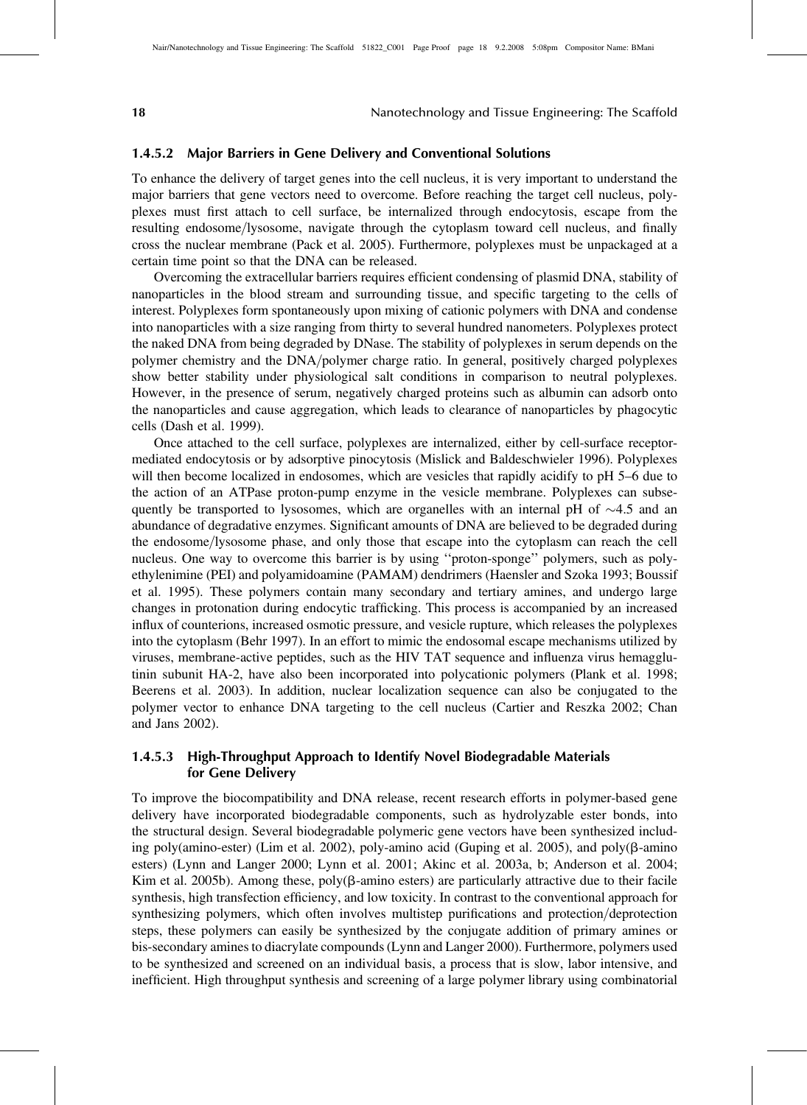#### 1.4.5.2 Major Barriers in Gene Delivery and Conventional Solutions

To enhance the delivery of target genes into the cell nucleus, it is very important to understand the major barriers that gene vectors need to overcome. Before reaching the target cell nucleus, polyplexes must first attach to cell surface, be internalized through endocytosis, escape from the resulting endosome/lysosome, navigate through the cytoplasm toward cell nucleus, and finally cross the nuclear membrane (Pack et al. 2005). Furthermore, polyplexes must be unpackaged at a certain time point so that the DNA can be released.

Overcoming the extracellular barriers requires efficient condensing of plasmid DNA, stability of nanoparticles in the blood stream and surrounding tissue, and specific targeting to the cells of interest. Polyplexes form spontaneously upon mixing of cationic polymers with DNA and condense into nanoparticles with a size ranging from thirty to several hundred nanometers. Polyplexes protect the naked DNA from being degraded by DNase. The stability of polyplexes in serum depends on the polymer chemistry and the DNA/polymer charge ratio. In general, positively charged polyplexes show better stability under physiological salt conditions in comparison to neutral polyplexes. However, in the presence of serum, negatively charged proteins such as albumin can adsorb onto the nanoparticles and cause aggregation, which leads to clearance of nanoparticles by phagocytic cells (Dash et al. 1999).

Once attached to the cell surface, polyplexes are internalized, either by cell-surface receptormediated endocytosis or by adsorptive pinocytosis (Mislick and Baldeschwieler 1996). Polyplexes will then become localized in endosomes, which are vesicles that rapidly acidify to pH 5–6 due to the action of an ATPase proton-pump enzyme in the vesicle membrane. Polyplexes can subsequently be transported to lysosomes, which are organelles with an internal pH of  $\sim$ 4.5 and an abundance of degradative enzymes. Significant amounts of DNA are believed to be degraded during the endosome/lysosome phase, and only those that escape into the cytoplasm can reach the cell nucleus. One way to overcome this barrier is by using ''proton-sponge'' polymers, such as polyethylenimine (PEI) and polyamidoamine (PAMAM) dendrimers (Haensler and Szoka 1993; Boussif et al. 1995). These polymers contain many secondary and tertiary amines, and undergo large changes in protonation during endocytic trafficking. This process is accompanied by an increased influx of counterions, increased osmotic pressure, and vesicle rupture, which releases the polyplexes into the cytoplasm (Behr 1997). In an effort to mimic the endosomal escape mechanisms utilized by viruses, membrane-active peptides, such as the HIV TAT sequence and influenza virus hemagglutinin subunit HA-2, have also been incorporated into polycationic polymers (Plank et al. 1998; Beerens et al. 2003). In addition, nuclear localization sequence can also be conjugated to the polymer vector to enhance DNA targeting to the cell nucleus (Cartier and Reszka 2002; Chan and Jans 2002).

## 1.4.5.3 High-Throughput Approach to Identify Novel Biodegradable Materials for Gene Delivery

To improve the biocompatibility and DNA release, recent research efforts in polymer-based gene delivery have incorporated biodegradable components, such as hydrolyzable ester bonds, into the structural design. Several biodegradable polymeric gene vectors have been synthesized including poly(amino-ester) (Lim et al. 2002), poly-amino acid (Guping et al. 2005), and poly(b-amino esters) (Lynn and Langer 2000; Lynn et al. 2001; Akinc et al. 2003a, b; Anderson et al. 2004; Kim et al. 2005b). Among these, poly( $\beta$ -amino esters) are particularly attractive due to their facile synthesis, high transfection efficiency, and low toxicity. In contrast to the conventional approach for synthesizing polymers, which often involves multistep purifications and protection/deprotection steps, these polymers can easily be synthesized by the conjugate addition of primary amines or bis-secondary amines to diacrylate compounds (Lynn and Langer 2000). Furthermore, polymers used to be synthesized and screened on an individual basis, a process that is slow, labor intensive, and inefficient. High throughput synthesis and screening of a large polymer library using combinatorial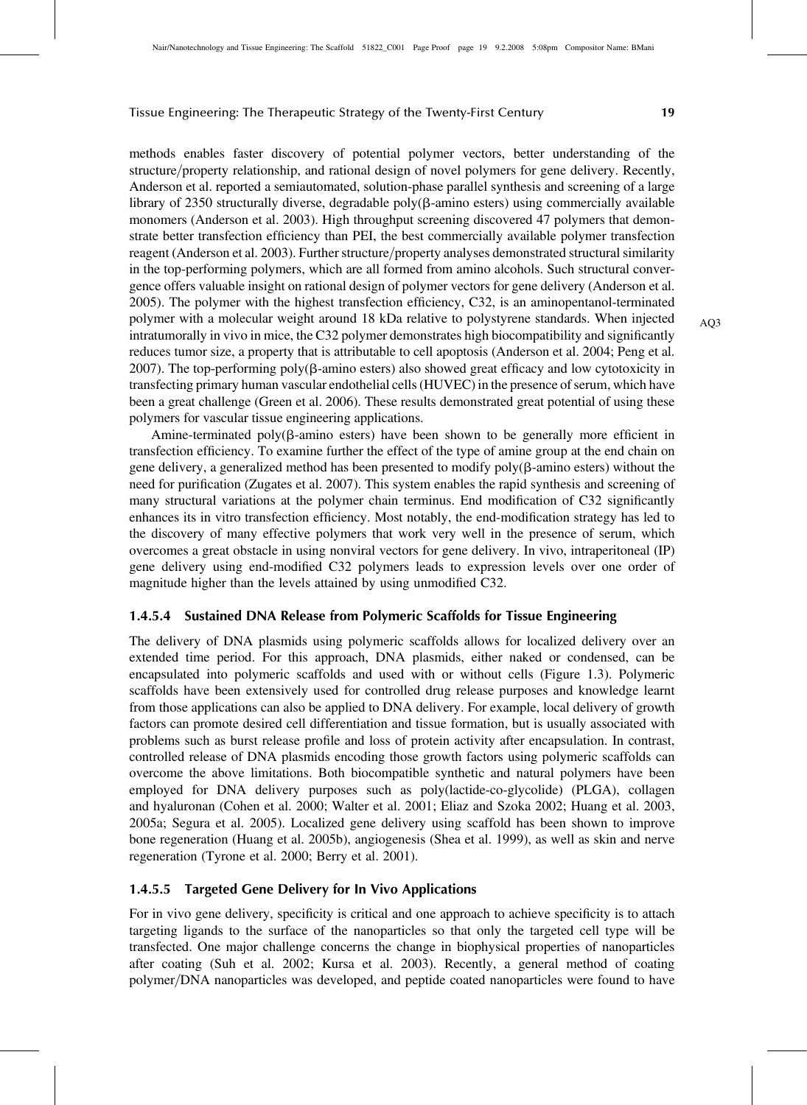methods enables faster discovery of potential polymer vectors, better understanding of the structure/property relationship, and rational design of novel polymers for gene delivery. Recently, Anderson et al. reported a semiautomated, solution-phase parallel synthesis and screening of a large library of 2350 structurally diverse, degradable poly $(\beta$ -amino esters) using commercially available monomers (Anderson et al. 2003). High throughput screening discovered 47 polymers that demonstrate better transfection efficiency than PEI, the best commercially available polymer transfection reagent (Anderson et al. 2003). Further structure/property analyses demonstrated structural similarity in the top-performing polymers, which are all formed from amino alcohols. Such structural convergence offers valuable insight on rational design of polymer vectors for gene delivery (Anderson et al. 2005). The polymer with the highest transfection efficiency, C32, is an aminopentanol-terminated polymer with a molecular weight around 18 kDa relative to polystyrene standards. When injected intratumorally in vivo in mice, the C32 polymer demonstrates high biocompatibility and significantly reduces tumor size, a property that is attributable to cell apoptosis (Anderson et al. 2004; Peng et al.  $2007$ ). The top-performing poly( $\beta$ -amino esters) also showed great efficacy and low cytotoxicity in transfecting primary human vascular endothelial cells (HUVEC) in the presence of serum, which have been a great challenge (Green et al. 2006). These results demonstrated great potential of using these polymers for vascular tissue engineering applications.

Amine-terminated poly( $\beta$ -amino esters) have been shown to be generally more efficient in transfection efficiency. To examine further the effect of the type of amine group at the end chain on gene delivery, a generalized method has been presented to modify  $poly(\beta\text{-amino} )$  without the need for purification (Zugates et al. 2007). This system enables the rapid synthesis and screening of many structural variations at the polymer chain terminus. End modification of C32 significantly enhances its in vitro transfection efficiency. Most notably, the end-modification strategy has led to the discovery of many effective polymers that work very well in the presence of serum, which overcomes a great obstacle in using nonviral vectors for gene delivery. In vivo, intraperitoneal (IP) gene delivery using end-modified C32 polymers leads to expression levels over one order of magnitude higher than the levels attained by using unmodified C32.

## 1.4.5.4 Sustained DNA Release from Polymeric Scaffolds for Tissue Engineering

The delivery of DNA plasmids using polymeric scaffolds allows for localized delivery over an extended time period. For this approach, DNA plasmids, either naked or condensed, can be encapsulated into polymeric scaffolds and used with or without cells (Figure 1.3). Polymeric scaffolds have been extensively used for controlled drug release purposes and knowledge learnt from those applications can also be applied to DNA delivery. For example, local delivery of growth factors can promote desired cell differentiation and tissue formation, but is usually associated with problems such as burst release profile and loss of protein activity after encapsulation. In contrast, controlled release of DNA plasmids encoding those growth factors using polymeric scaffolds can overcome the above limitations. Both biocompatible synthetic and natural polymers have been employed for DNA delivery purposes such as poly(lactide-co-glycolide) (PLGA), collagen and hyaluronan (Cohen et al. 2000; Walter et al. 2001; Eliaz and Szoka 2002; Huang et al. 2003, 2005a; Segura et al. 2005). Localized gene delivery using scaffold has been shown to improve bone regeneration (Huang et al. 2005b), angiogenesis (Shea et al. 1999), as well as skin and nerve regeneration (Tyrone et al. 2000; Berry et al. 2001).

## 1.4.5.5 Targeted Gene Delivery for In Vivo Applications

For in vivo gene delivery, specificity is critical and one approach to achieve specificity is to attach targeting ligands to the surface of the nanoparticles so that only the targeted cell type will be transfected. One major challenge concerns the change in biophysical properties of nanoparticles after coating (Suh et al. 2002; Kursa et al. 2003). Recently, a general method of coating polymer/DNA nanoparticles was developed, and peptide coated nanoparticles were found to have AQ3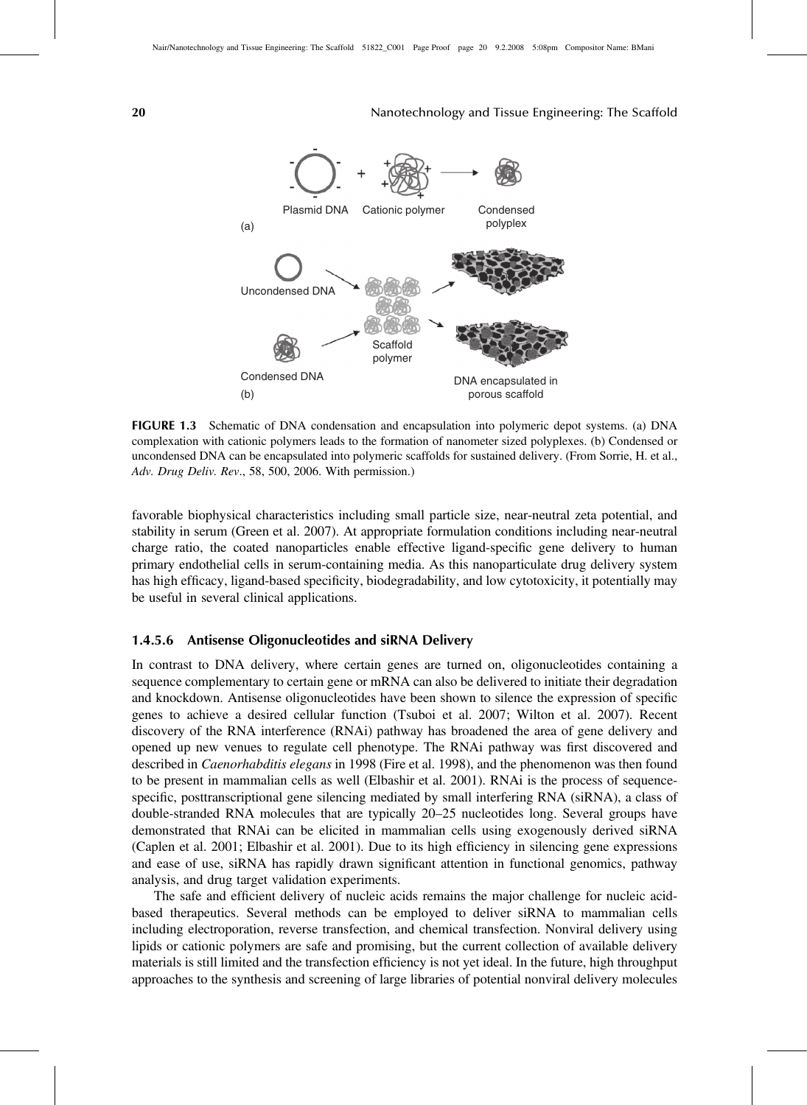

FIGURE 1.3 Schematic of DNA condensation and encapsulation into polymeric depot systems. (a) DNA complexation with cationic polymers leads to the formation of nanometer sized polyplexes. (b) Condensed or uncondensed DNA can be encapsulated into polymeric scaffolds for sustained delivery. (From Sorrie, H. et al., Adv. Drug Deliv. Rev., 58, 500, 2006. With permission.)

favorable biophysical characteristics including small particle size, near-neutral zeta potential, and stability in serum (Green et al. 2007). At appropriate formulation conditions including near-neutral charge ratio, the coated nanoparticles enable effective ligand-specific gene delivery to human primary endothelial cells in serum-containing media. As this nanoparticulate drug delivery system has high efficacy, ligand-based specificity, biodegradability, and low cytotoxicity, it potentially may be useful in several clinical applications.

#### 1.4.5.6 Antisense Oligonucleotides and siRNA Delivery

In contrast to DNA delivery, where certain genes are turned on, oligonucleotides containing a sequence complementary to certain gene or mRNA can also be delivered to initiate their degradation and knockdown. Antisense oligonucleotides have been shown to silence the expression of specific genes to achieve a desired cellular function (Tsuboi et al. 2007; Wilton et al. 2007). Recent discovery of the RNA interference (RNAi) pathway has broadened the area of gene delivery and opened up new venues to regulate cell phenotype. The RNAi pathway was first discovered and described in *Caenorhabditis elegans* in 1998 (Fire et al. 1998), and the phenomenon was then found to be present in mammalian cells as well (Elbashir et al. 2001). RNAi is the process of sequencespecific, posttranscriptional gene silencing mediated by small interfering RNA (siRNA), a class of double-stranded RNA molecules that are typically 20–25 nucleotides long. Several groups have demonstrated that RNAi can be elicited in mammalian cells using exogenously derived siRNA (Caplen et al. 2001; Elbashir et al. 2001). Due to its high efficiency in silencing gene expressions and ease of use, siRNA has rapidly drawn significant attention in functional genomics, pathway analysis, and drug target validation experiments.

The safe and efficient delivery of nucleic acids remains the major challenge for nucleic acidbased therapeutics. Several methods can be employed to deliver siRNA to mammalian cells including electroporation, reverse transfection, and chemical transfection. Nonviral delivery using lipids or cationic polymers are safe and promising, but the current collection of available delivery materials is still limited and the transfection efficiency is not yet ideal. In the future, high throughput approaches to the synthesis and screening of large libraries of potential nonviral delivery molecules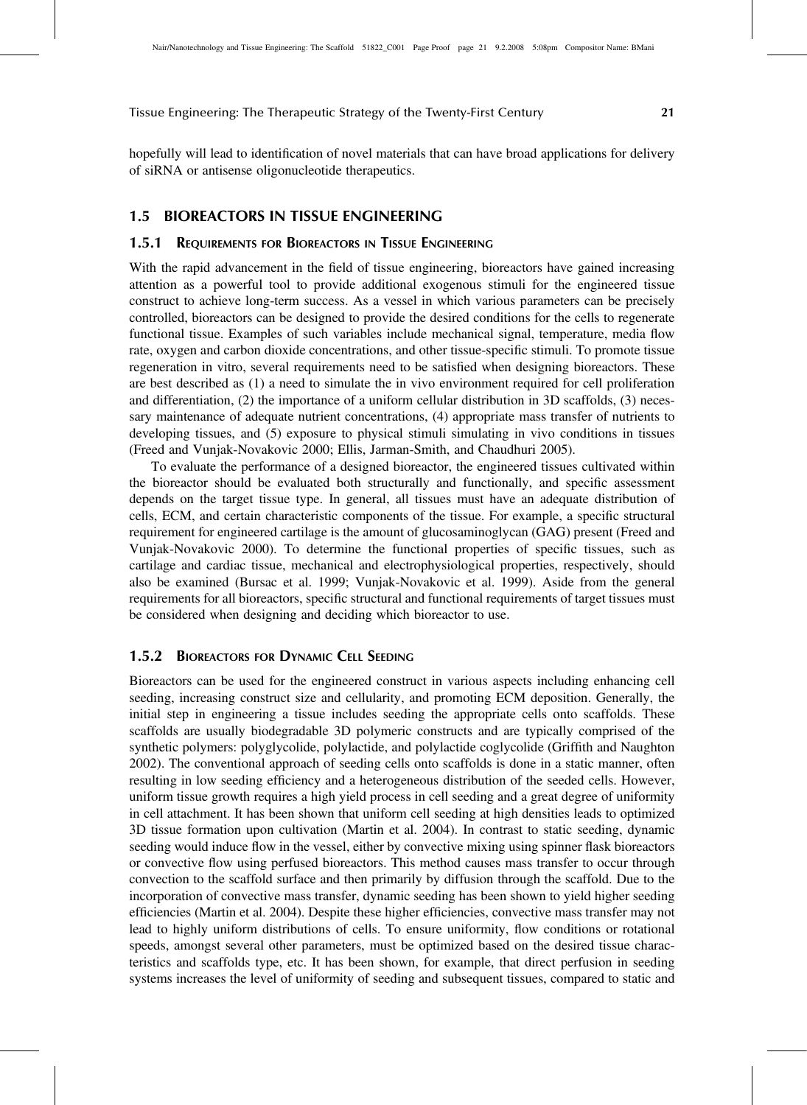hopefully will lead to identification of novel materials that can have broad applications for delivery of siRNA or antisense oligonucleotide therapeutics.

#### 1.5 BIOREACTORS IN TISSUE ENGINEERING

#### 1.5.1 REQUIREMENTS FOR BIOREACTORS IN TISSUE ENGINEERING

With the rapid advancement in the field of tissue engineering, bioreactors have gained increasing attention as a powerful tool to provide additional exogenous stimuli for the engineered tissue construct to achieve long-term success. As a vessel in which various parameters can be precisely controlled, bioreactors can be designed to provide the desired conditions for the cells to regenerate functional tissue. Examples of such variables include mechanical signal, temperature, media flow rate, oxygen and carbon dioxide concentrations, and other tissue-specific stimuli. To promote tissue regeneration in vitro, several requirements need to be satisfied when designing bioreactors. These are best described as (1) a need to simulate the in vivo environment required for cell proliferation and differentiation, (2) the importance of a uniform cellular distribution in 3D scaffolds, (3) necessary maintenance of adequate nutrient concentrations, (4) appropriate mass transfer of nutrients to developing tissues, and (5) exposure to physical stimuli simulating in vivo conditions in tissues (Freed and Vunjak-Novakovic 2000; Ellis, Jarman-Smith, and Chaudhuri 2005).

To evaluate the performance of a designed bioreactor, the engineered tissues cultivated within the bioreactor should be evaluated both structurally and functionally, and specific assessment depends on the target tissue type. In general, all tissues must have an adequate distribution of cells, ECM, and certain characteristic components of the tissue. For example, a specific structural requirement for engineered cartilage is the amount of glucosaminoglycan (GAG) present (Freed and Vunjak-Novakovic 2000). To determine the functional properties of specific tissues, such as cartilage and cardiac tissue, mechanical and electrophysiological properties, respectively, should also be examined (Bursac et al. 1999; Vunjak-Novakovic et al. 1999). Aside from the general requirements for all bioreactors, specific structural and functional requirements of target tissues must be considered when designing and deciding which bioreactor to use.

#### 1.5.2 BIOREACTORS FOR DYNAMIC CELL SEEDING

Bioreactors can be used for the engineered construct in various aspects including enhancing cell seeding, increasing construct size and cellularity, and promoting ECM deposition. Generally, the initial step in engineering a tissue includes seeding the appropriate cells onto scaffolds. These scaffolds are usually biodegradable 3D polymeric constructs and are typically comprised of the synthetic polymers: polyglycolide, polylactide, and polylactide coglycolide (Griffith and Naughton 2002). The conventional approach of seeding cells onto scaffolds is done in a static manner, often resulting in low seeding efficiency and a heterogeneous distribution of the seeded cells. However, uniform tissue growth requires a high yield process in cell seeding and a great degree of uniformity in cell attachment. It has been shown that uniform cell seeding at high densities leads to optimized 3D tissue formation upon cultivation (Martin et al. 2004). In contrast to static seeding, dynamic seeding would induce flow in the vessel, either by convective mixing using spinner flask bioreactors or convective flow using perfused bioreactors. This method causes mass transfer to occur through convection to the scaffold surface and then primarily by diffusion through the scaffold. Due to the incorporation of convective mass transfer, dynamic seeding has been shown to yield higher seeding efficiencies (Martin et al. 2004). Despite these higher efficiencies, convective mass transfer may not lead to highly uniform distributions of cells. To ensure uniformity, flow conditions or rotational speeds, amongst several other parameters, must be optimized based on the desired tissue characteristics and scaffolds type, etc. It has been shown, for example, that direct perfusion in seeding systems increases the level of uniformity of seeding and subsequent tissues, compared to static and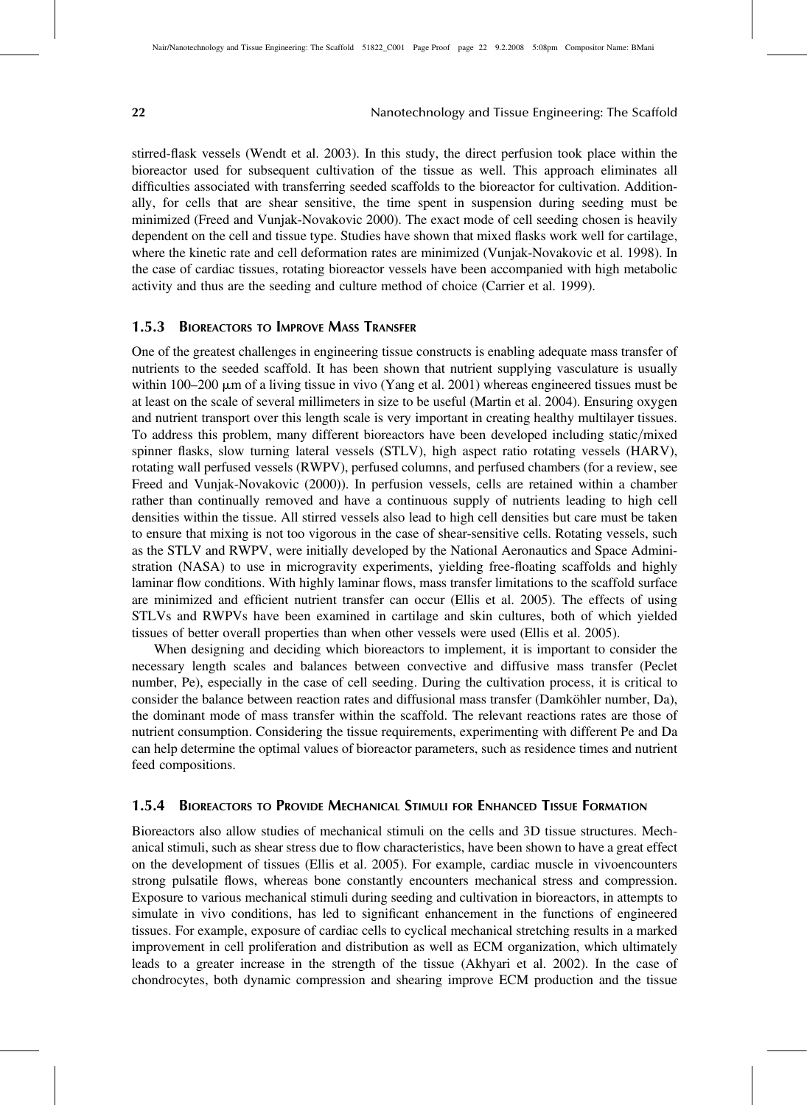stirred-flask vessels (Wendt et al. 2003). In this study, the direct perfusion took place within the bioreactor used for subsequent cultivation of the tissue as well. This approach eliminates all difficulties associated with transferring seeded scaffolds to the bioreactor for cultivation. Additionally, for cells that are shear sensitive, the time spent in suspension during seeding must be minimized (Freed and Vunjak-Novakovic 2000). The exact mode of cell seeding chosen is heavily dependent on the cell and tissue type. Studies have shown that mixed flasks work well for cartilage, where the kinetic rate and cell deformation rates are minimized (Vunjak-Novakovic et al. 1998). In the case of cardiac tissues, rotating bioreactor vessels have been accompanied with high metabolic activity and thus are the seeding and culture method of choice (Carrier et al. 1999).

## 1.5.3 BIOREACTORS TO IMPROVE MASS TRANSFER

One of the greatest challenges in engineering tissue constructs is enabling adequate mass transfer of nutrients to the seeded scaffold. It has been shown that nutrient supplying vasculature is usually within 100–200  $\mu$ m of a living tissue in vivo (Yang et al. 2001) whereas engineered tissues must be at least on the scale of several millimeters in size to be useful (Martin et al. 2004). Ensuring oxygen and nutrient transport over this length scale is very important in creating healthy multilayer tissues. To address this problem, many different bioreactors have been developed including static/mixed spinner flasks, slow turning lateral vessels (STLV), high aspect ratio rotating vessels (HARV), rotating wall perfused vessels (RWPV), perfused columns, and perfused chambers (for a review, see Freed and Vunjak-Novakovic (2000)). In perfusion vessels, cells are retained within a chamber rather than continually removed and have a continuous supply of nutrients leading to high cell densities within the tissue. All stirred vessels also lead to high cell densities but care must be taken to ensure that mixing is not too vigorous in the case of shear-sensitive cells. Rotating vessels, such as the STLV and RWPV, were initially developed by the National Aeronautics and Space Administration (NASA) to use in microgravity experiments, yielding free-floating scaffolds and highly laminar flow conditions. With highly laminar flows, mass transfer limitations to the scaffold surface are minimized and efficient nutrient transfer can occur (Ellis et al. 2005). The effects of using STLVs and RWPVs have been examined in cartilage and skin cultures, both of which yielded tissues of better overall properties than when other vessels were used (Ellis et al. 2005).

When designing and deciding which bioreactors to implement, it is important to consider the necessary length scales and balances between convective and diffusive mass transfer (Peclet number, Pe), especially in the case of cell seeding. During the cultivation process, it is critical to consider the balance between reaction rates and diffusional mass transfer (Damköhler number, Da), the dominant mode of mass transfer within the scaffold. The relevant reactions rates are those of nutrient consumption. Considering the tissue requirements, experimenting with different Pe and Da can help determine the optimal values of bioreactor parameters, such as residence times and nutrient feed compositions.

#### 1.5.4 BIOREACTORS TO PROVIDE MECHANICAL STIMULI FOR ENHANCED TISSUE FORMATION

Bioreactors also allow studies of mechanical stimuli on the cells and 3D tissue structures. Mechanical stimuli, such as shear stress due to flow characteristics, have been shown to have a great effect on the development of tissues (Ellis et al. 2005). For example, cardiac muscle in vivoencounters strong pulsatile flows, whereas bone constantly encounters mechanical stress and compression. Exposure to various mechanical stimuli during seeding and cultivation in bioreactors, in attempts to simulate in vivo conditions, has led to significant enhancement in the functions of engineered tissues. For example, exposure of cardiac cells to cyclical mechanical stretching results in a marked improvement in cell proliferation and distribution as well as ECM organization, which ultimately leads to a greater increase in the strength of the tissue (Akhyari et al. 2002). In the case of chondrocytes, both dynamic compression and shearing improve ECM production and the tissue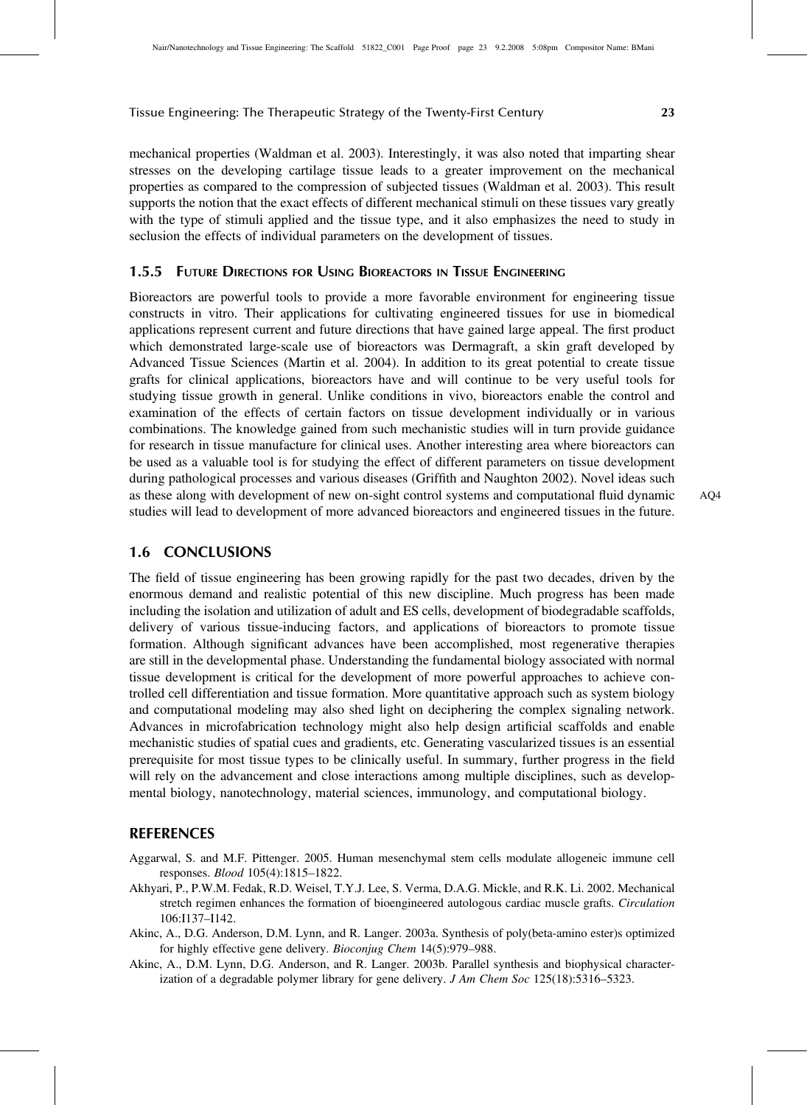mechanical properties (Waldman et al. 2003). Interestingly, it was also noted that imparting shear stresses on the developing cartilage tissue leads to a greater improvement on the mechanical properties as compared to the compression of subjected tissues (Waldman et al. 2003). This result supports the notion that the exact effects of different mechanical stimuli on these tissues vary greatly with the type of stimuli applied and the tissue type, and it also emphasizes the need to study in seclusion the effects of individual parameters on the development of tissues.

#### **1.5.5 FUTURE DIRECTIONS FOR USING BIOREACTORS IN TISSUE ENGINEERING**

Bioreactors are powerful tools to provide a more favorable environment for engineering tissue constructs in vitro. Their applications for cultivating engineered tissues for use in biomedical applications represent current and future directions that have gained large appeal. The first product which demonstrated large-scale use of bioreactors was Dermagraft, a skin graft developed by Advanced Tissue Sciences (Martin et al. 2004). In addition to its great potential to create tissue grafts for clinical applications, bioreactors have and will continue to be very useful tools for studying tissue growth in general. Unlike conditions in vivo, bioreactors enable the control and examination of the effects of certain factors on tissue development individually or in various combinations. The knowledge gained from such mechanistic studies will in turn provide guidance for research in tissue manufacture for clinical uses. Another interesting area where bioreactors can be used as a valuable tool is for studying the effect of different parameters on tissue development during pathological processes and various diseases (Griffith and Naughton 2002). Novel ideas such as these along with development of new on-sight control systems and computational fluid dynamic AQ4 studies will lead to development of more advanced bioreactors and engineered tissues in the future.

# 1.6 CONCLUSIONS

The field of tissue engineering has been growing rapidly for the past two decades, driven by the enormous demand and realistic potential of this new discipline. Much progress has been made including the isolation and utilization of adult and ES cells, development of biodegradable scaffolds, delivery of various tissue-inducing factors, and applications of bioreactors to promote tissue formation. Although significant advances have been accomplished, most regenerative therapies are still in the developmental phase. Understanding the fundamental biology associated with normal tissue development is critical for the development of more powerful approaches to achieve controlled cell differentiation and tissue formation. More quantitative approach such as system biology and computational modeling may also shed light on deciphering the complex signaling network. Advances in microfabrication technology might also help design artificial scaffolds and enable mechanistic studies of spatial cues and gradients, etc. Generating vascularized tissues is an essential prerequisite for most tissue types to be clinically useful. In summary, further progress in the field will rely on the advancement and close interactions among multiple disciplines, such as developmental biology, nanotechnology, material sciences, immunology, and computational biology.

## **REFERENCES**

- Aggarwal, S. and M.F. Pittenger. 2005. Human mesenchymal stem cells modulate allogeneic immune cell responses. Blood 105(4):1815–1822.
- Akhyari, P., P.W.M. Fedak, R.D. Weisel, T.Y.J. Lee, S. Verma, D.A.G. Mickle, and R.K. Li. 2002. Mechanical stretch regimen enhances the formation of bioengineered autologous cardiac muscle grafts. Circulation 106:I137–I142.
- Akinc, A., D.G. Anderson, D.M. Lynn, and R. Langer. 2003a. Synthesis of poly(beta-amino ester)s optimized for highly effective gene delivery. Bioconjug Chem 14(5):979–988.
- Akinc, A., D.M. Lynn, D.G. Anderson, and R. Langer. 2003b. Parallel synthesis and biophysical characterization of a degradable polymer library for gene delivery. *J Am Chem Soc* 125(18):5316–5323.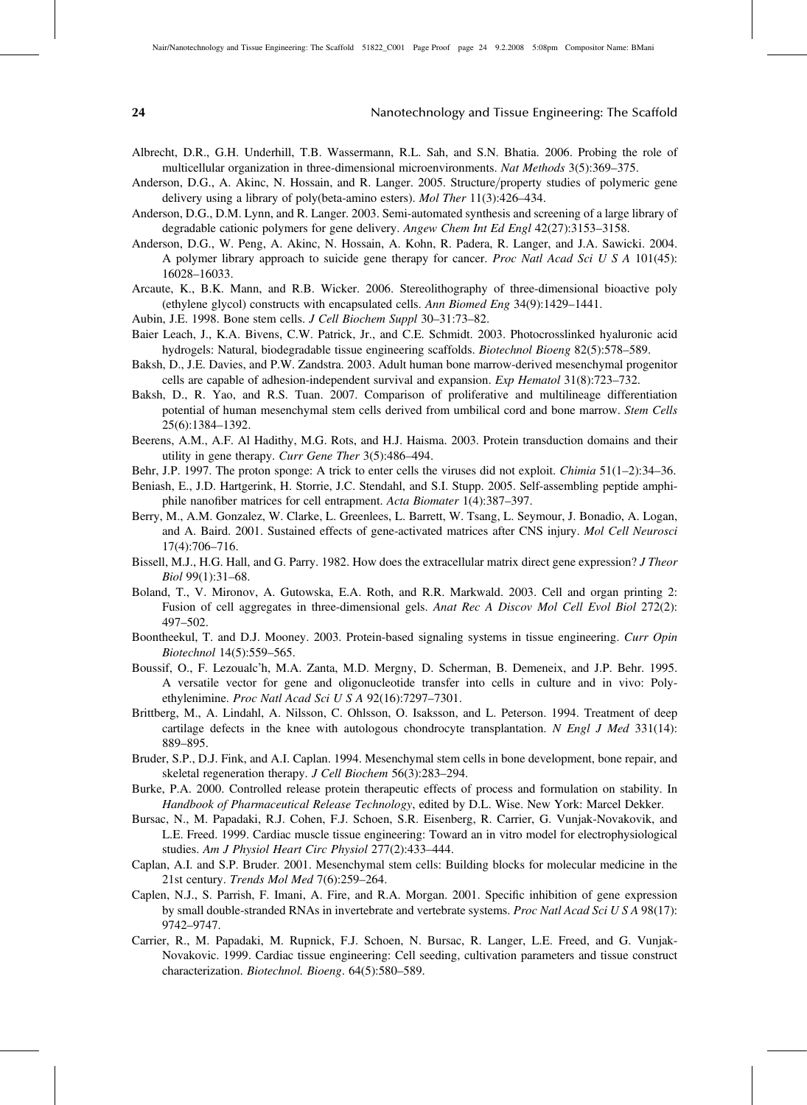- Albrecht, D.R., G.H. Underhill, T.B. Wassermann, R.L. Sah, and S.N. Bhatia. 2006. Probing the role of multicellular organization in three-dimensional microenvironments. Nat Methods 3(5):369–375.
- Anderson, D.G., A. Akinc, N. Hossain, and R. Langer. 2005. Structure/property studies of polymeric gene delivery using a library of poly(beta-amino esters). Mol Ther 11(3):426–434.
- Anderson, D.G., D.M. Lynn, and R. Langer. 2003. Semi-automated synthesis and screening of a large library of degradable cationic polymers for gene delivery. Angew Chem Int Ed Engl 42(27):3153–3158.
- Anderson, D.G., W. Peng, A. Akinc, N. Hossain, A. Kohn, R. Padera, R. Langer, and J.A. Sawicki. 2004. A polymer library approach to suicide gene therapy for cancer. Proc Natl Acad Sci U S A 101(45): 16028–16033.
- Arcaute, K., B.K. Mann, and R.B. Wicker. 2006. Stereolithography of three-dimensional bioactive poly (ethylene glycol) constructs with encapsulated cells. Ann Biomed Eng 34(9):1429–1441.
- Aubin, J.E. 1998. Bone stem cells. J Cell Biochem Suppl 30–31:73–82.
- Baier Leach, J., K.A. Bivens, C.W. Patrick, Jr., and C.E. Schmidt. 2003. Photocrosslinked hyaluronic acid hydrogels: Natural, biodegradable tissue engineering scaffolds. Biotechnol Bioeng 82(5):578–589.
- Baksh, D., J.E. Davies, and P.W. Zandstra. 2003. Adult human bone marrow-derived mesenchymal progenitor cells are capable of adhesion-independent survival and expansion. Exp Hematol 31(8):723–732.
- Baksh, D., R. Yao, and R.S. Tuan. 2007. Comparison of proliferative and multilineage differentiation potential of human mesenchymal stem cells derived from umbilical cord and bone marrow. Stem Cells 25(6):1384–1392.
- Beerens, A.M., A.F. Al Hadithy, M.G. Rots, and H.J. Haisma. 2003. Protein transduction domains and their utility in gene therapy. Curr Gene Ther 3(5):486–494.
- Behr, J.P. 1997. The proton sponge: A trick to enter cells the viruses did not exploit. Chimia 51(1–2):34–36.
- Beniash, E., J.D. Hartgerink, H. Storrie, J.C. Stendahl, and S.I. Stupp. 2005. Self-assembling peptide amphiphile nanofiber matrices for cell entrapment. Acta Biomater 1(4):387–397.
- Berry, M., A.M. Gonzalez, W. Clarke, L. Greenlees, L. Barrett, W. Tsang, L. Seymour, J. Bonadio, A. Logan, and A. Baird. 2001. Sustained effects of gene-activated matrices after CNS injury. Mol Cell Neurosci 17(4):706–716.
- Bissell, M.J., H.G. Hall, and G. Parry. 1982. How does the extracellular matrix direct gene expression? *J Theor* Biol 99(1):31–68.
- Boland, T., V. Mironov, A. Gutowska, E.A. Roth, and R.R. Markwald. 2003. Cell and organ printing 2: Fusion of cell aggregates in three-dimensional gels. Anat Rec A Discov Mol Cell Evol Biol 272(2): 497–502.
- Boontheekul, T. and D.J. Mooney. 2003. Protein-based signaling systems in tissue engineering. Curr Opin Biotechnol 14(5):559–565.
- Boussif, O., F. Lezoualc'h, M.A. Zanta, M.D. Mergny, D. Scherman, B. Demeneix, and J.P. Behr. 1995. A versatile vector for gene and oligonucleotide transfer into cells in culture and in vivo: Polyethylenimine. Proc Natl Acad Sci U S A 92(16):7297–7301.
- Brittberg, M., A. Lindahl, A. Nilsson, C. Ohlsson, O. Isaksson, and L. Peterson. 1994. Treatment of deep cartilage defects in the knee with autologous chondrocyte transplantation. N Engl J Med  $331(14)$ : 889–895.
- Bruder, S.P., D.J. Fink, and A.I. Caplan. 1994. Mesenchymal stem cells in bone development, bone repair, and skeletal regeneration therapy. J Cell Biochem 56(3):283–294.
- Burke, P.A. 2000. Controlled release protein therapeutic effects of process and formulation on stability. In Handbook of Pharmaceutical Release Technology, edited by D.L. Wise. New York: Marcel Dekker.
- Bursac, N., M. Papadaki, R.J. Cohen, F.J. Schoen, S.R. Eisenberg, R. Carrier, G. Vunjak-Novakovik, and L.E. Freed. 1999. Cardiac muscle tissue engineering: Toward an in vitro model for electrophysiological studies. Am J Physiol Heart Circ Physiol 277(2):433–444.
- Caplan, A.I. and S.P. Bruder. 2001. Mesenchymal stem cells: Building blocks for molecular medicine in the 21st century. Trends Mol Med 7(6):259–264.
- Caplen, N.J., S. Parrish, F. Imani, A. Fire, and R.A. Morgan. 2001. Specific inhibition of gene expression by small double-stranded RNAs in invertebrate and vertebrate systems. Proc Natl Acad Sci U S A 98(17): 9742–9747.
- Carrier, R., M. Papadaki, M. Rupnick, F.J. Schoen, N. Bursac, R. Langer, L.E. Freed, and G. Vunjak-Novakovic. 1999. Cardiac tissue engineering: Cell seeding, cultivation parameters and tissue construct characterization. Biotechnol. Bioeng. 64(5):580–589.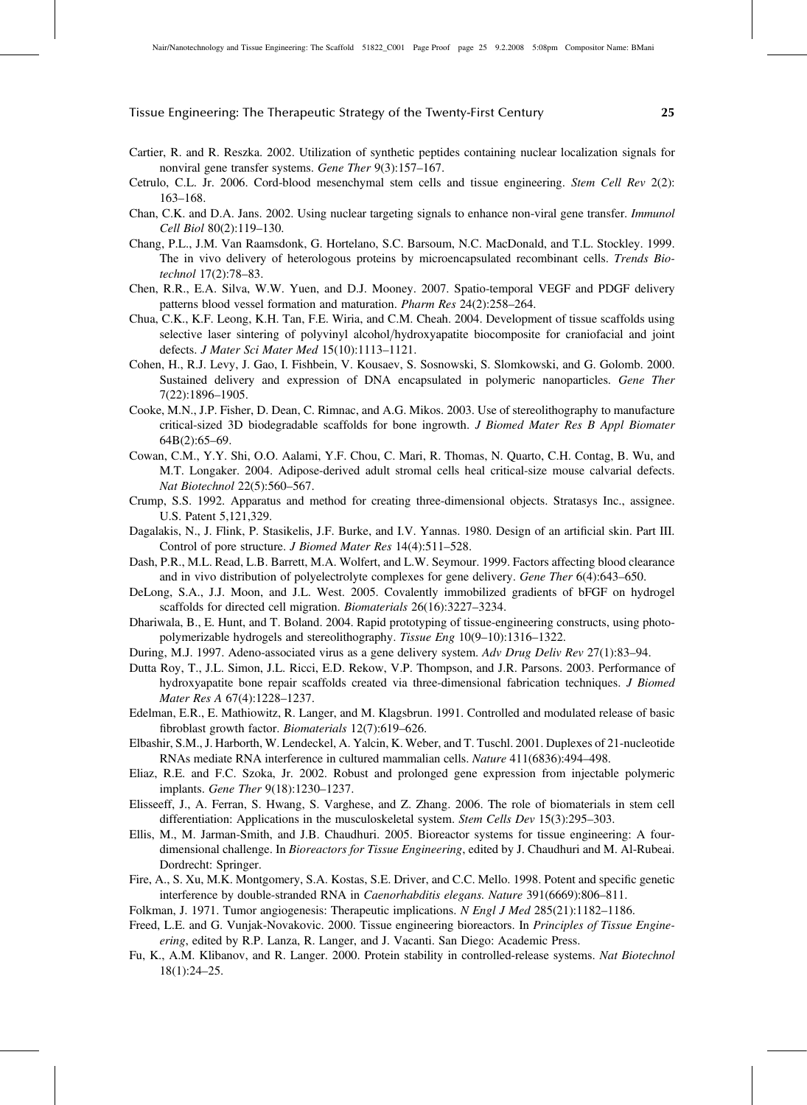- Cartier, R. and R. Reszka. 2002. Utilization of synthetic peptides containing nuclear localization signals for nonviral gene transfer systems. Gene Ther 9(3):157–167.
- Cetrulo, C.L. Jr. 2006. Cord-blood mesenchymal stem cells and tissue engineering. Stem Cell Rev 2(2): 163–168.
- Chan, C.K. and D.A. Jans. 2002. Using nuclear targeting signals to enhance non-viral gene transfer. Immunol Cell Biol 80(2):119–130.
- Chang, P.L., J.M. Van Raamsdonk, G. Hortelano, S.C. Barsoum, N.C. MacDonald, and T.L. Stockley. 1999. The in vivo delivery of heterologous proteins by microencapsulated recombinant cells. Trends Biotechnol 17(2):78–83.
- Chen, R.R., E.A. Silva, W.W. Yuen, and D.J. Mooney. 2007. Spatio-temporal VEGF and PDGF delivery patterns blood vessel formation and maturation. Pharm Res 24(2):258–264.
- Chua, C.K., K.F. Leong, K.H. Tan, F.E. Wiria, and C.M. Cheah. 2004. Development of tissue scaffolds using selective laser sintering of polyvinyl alcohol/hydroxyapatite biocomposite for craniofacial and joint defects. J Mater Sci Mater Med 15(10):1113–1121.
- Cohen, H., R.J. Levy, J. Gao, I. Fishbein, V. Kousaev, S. Sosnowski, S. Slomkowski, and G. Golomb. 2000. Sustained delivery and expression of DNA encapsulated in polymeric nanoparticles. Gene Ther 7(22):1896–1905.
- Cooke, M.N., J.P. Fisher, D. Dean, C. Rimnac, and A.G. Mikos. 2003. Use of stereolithography to manufacture critical-sized 3D biodegradable scaffolds for bone ingrowth. J Biomed Mater Res B Appl Biomater 64B(2):65–69.
- Cowan, C.M., Y.Y. Shi, O.O. Aalami, Y.F. Chou, C. Mari, R. Thomas, N. Quarto, C.H. Contag, B. Wu, and M.T. Longaker. 2004. Adipose-derived adult stromal cells heal critical-size mouse calvarial defects. Nat Biotechnol 22(5):560–567.
- Crump, S.S. 1992. Apparatus and method for creating three-dimensional objects. Stratasys Inc., assignee. U.S. Patent 5,121,329.
- Dagalakis, N., J. Flink, P. Stasikelis, J.F. Burke, and I.V. Yannas. 1980. Design of an artificial skin. Part III. Control of pore structure. J Biomed Mater Res 14(4):511–528.
- Dash, P.R., M.L. Read, L.B. Barrett, M.A. Wolfert, and L.W. Seymour. 1999. Factors affecting blood clearance and in vivo distribution of polyelectrolyte complexes for gene delivery. Gene Ther 6(4):643–650.
- DeLong, S.A., J.J. Moon, and J.L. West. 2005. Covalently immobilized gradients of bFGF on hydrogel scaffolds for directed cell migration. Biomaterials 26(16):3227–3234.
- Dhariwala, B., E. Hunt, and T. Boland. 2004. Rapid prototyping of tissue-engineering constructs, using photopolymerizable hydrogels and stereolithography. Tissue Eng 10(9–10):1316–1322.
- During, M.J. 1997. Adeno-associated virus as a gene delivery system. Adv Drug Deliv Rev 27(1):83–94.
- Dutta Roy, T., J.L. Simon, J.L. Ricci, E.D. Rekow, V.P. Thompson, and J.R. Parsons. 2003. Performance of hydroxyapatite bone repair scaffolds created via three-dimensional fabrication techniques. J Biomed Mater Res A 67(4):1228–1237.
- Edelman, E.R., E. Mathiowitz, R. Langer, and M. Klagsbrun. 1991. Controlled and modulated release of basic fibroblast growth factor. Biomaterials 12(7):619–626.
- Elbashir, S.M., J. Harborth, W. Lendeckel, A. Yalcin, K. Weber, and T. Tuschl. 2001. Duplexes of 21-nucleotide RNAs mediate RNA interference in cultured mammalian cells. Nature 411(6836):494–498.
- Eliaz, R.E. and F.C. Szoka, Jr. 2002. Robust and prolonged gene expression from injectable polymeric implants. Gene Ther 9(18):1230–1237.
- Elisseeff, J., A. Ferran, S. Hwang, S. Varghese, and Z. Zhang. 2006. The role of biomaterials in stem cell differentiation: Applications in the musculoskeletal system. *Stem Cells Dev* 15(3):295–303.
- Ellis, M., M. Jarman-Smith, and J.B. Chaudhuri. 2005. Bioreactor systems for tissue engineering: A fourdimensional challenge. In Bioreactors for Tissue Engineering, edited by J. Chaudhuri and M. Al-Rubeai. Dordrecht: Springer.
- Fire, A., S. Xu, M.K. Montgomery, S.A. Kostas, S.E. Driver, and C.C. Mello. 1998. Potent and specific genetic interference by double-stranded RNA in Caenorhabditis elegans. Nature 391(6669):806–811.
- Folkman, J. 1971. Tumor angiogenesis: Therapeutic implications. N Engl J Med 285(21):1182–1186.
- Freed, L.E. and G. Vunjak-Novakovic. 2000. Tissue engineering bioreactors. In Principles of Tissue Engineering, edited by R.P. Lanza, R. Langer, and J. Vacanti. San Diego: Academic Press.
- Fu, K., A.M. Klibanov, and R. Langer. 2000. Protein stability in controlled-release systems. Nat Biotechnol 18(1):24–25.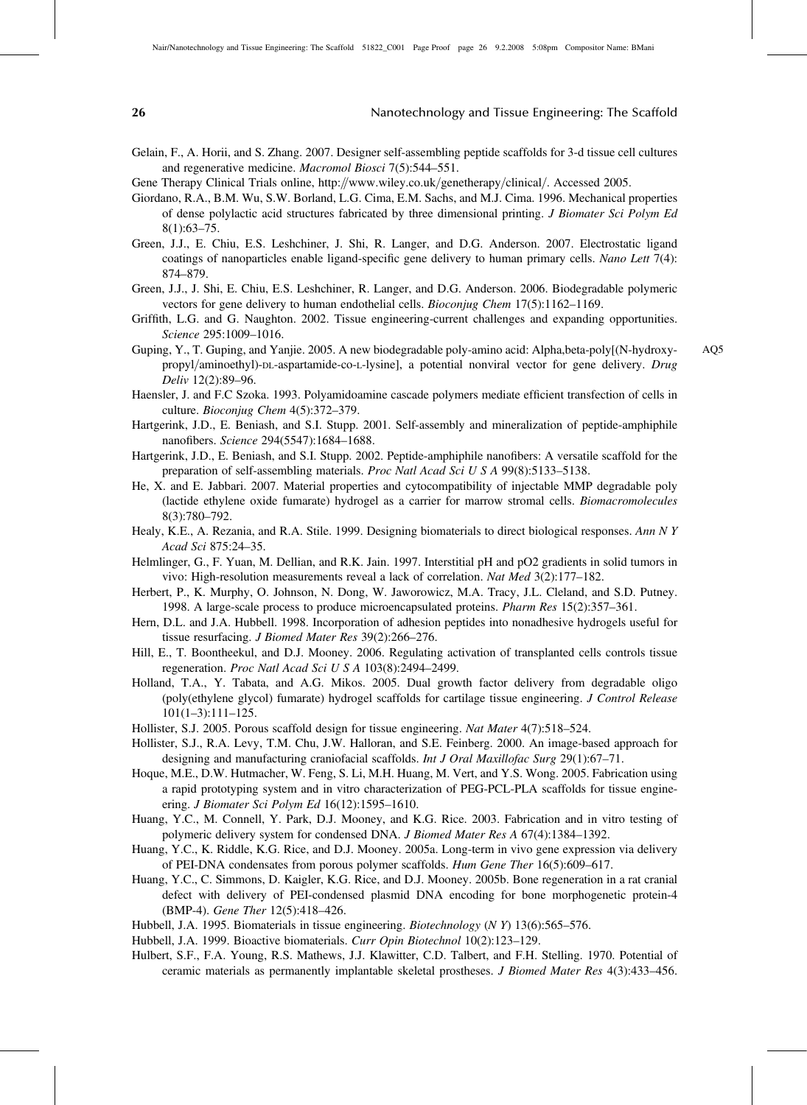- Gelain, F., A. Horii, and S. Zhang. 2007. Designer self-assembling peptide scaffolds for 3-d tissue cell cultures and regenerative medicine. Macromol Biosci 7(5):544–551.
- Gene Therapy Clinical Trials online, http://www.wiley.co.uk/genetherapy/clinical/. Accessed 2005.
- Giordano, R.A., B.M. Wu, S.W. Borland, L.G. Cima, E.M. Sachs, and M.J. Cima. 1996. Mechanical properties of dense polylactic acid structures fabricated by three dimensional printing. J Biomater Sci Polym Ed 8(1):63–75.
- Green, J.J., E. Chiu, E.S. Leshchiner, J. Shi, R. Langer, and D.G. Anderson. 2007. Electrostatic ligand coatings of nanoparticles enable ligand-specific gene delivery to human primary cells. Nano Lett 7(4): 874–879.
- Green, J.J., J. Shi, E. Chiu, E.S. Leshchiner, R. Langer, and D.G. Anderson. 2006. Biodegradable polymeric vectors for gene delivery to human endothelial cells. Bioconjug Chem 17(5):1162–1169.
- Griffith, L.G. and G. Naughton. 2002. Tissue engineering-current challenges and expanding opportunities. Science 295:1009–1016.
- Guping, Y., T. Guping, and Yanjie. 2005. A new biodegradable poly-amino acid: Alpha,beta-poly[(N-hydroxy- AQ5 propyl/aminoethyl)-DL-aspartamide-co-L-lysine], a potential nonviral vector for gene delivery. Drug Deliv 12(2):89–96.
- Haensler, J. and F.C Szoka. 1993. Polyamidoamine cascade polymers mediate efficient transfection of cells in culture. Bioconjug Chem 4(5):372–379.
- Hartgerink, J.D., E. Beniash, and S.I. Stupp. 2001. Self-assembly and mineralization of peptide-amphiphile nanofibers. Science 294(5547):1684–1688.
- Hartgerink, J.D., E. Beniash, and S.I. Stupp. 2002. Peptide-amphiphile nanofibers: A versatile scaffold for the preparation of self-assembling materials. Proc Natl Acad Sci U S A 99(8):5133–5138.
- He, X. and E. Jabbari. 2007. Material properties and cytocompatibility of injectable MMP degradable poly (lactide ethylene oxide fumarate) hydrogel as a carrier for marrow stromal cells. Biomacromolecules 8(3):780–792.
- Healy, K.E., A. Rezania, and R.A. Stile. 1999. Designing biomaterials to direct biological responses. Ann N Y Acad Sci 875:24–35.
- Helmlinger, G., F. Yuan, M. Dellian, and R.K. Jain. 1997. Interstitial pH and pO2 gradients in solid tumors in vivo: High-resolution measurements reveal a lack of correlation. Nat Med 3(2):177–182.
- Herbert, P., K. Murphy, O. Johnson, N. Dong, W. Jaworowicz, M.A. Tracy, J.L. Cleland, and S.D. Putney. 1998. A large-scale process to produce microencapsulated proteins. Pharm Res 15(2):357–361.
- Hern, D.L. and J.A. Hubbell. 1998. Incorporation of adhesion peptides into nonadhesive hydrogels useful for tissue resurfacing. J Biomed Mater Res 39(2):266–276.
- Hill, E., T. Boontheekul, and D.J. Mooney. 2006. Regulating activation of transplanted cells controls tissue regeneration. Proc Natl Acad Sci U S A 103(8):2494–2499.
- Holland, T.A., Y. Tabata, and A.G. Mikos. 2005. Dual growth factor delivery from degradable oligo (poly(ethylene glycol) fumarate) hydrogel scaffolds for cartilage tissue engineering. J Control Release 101(1–3):111–125.
- Hollister, S.J. 2005. Porous scaffold design for tissue engineering. Nat Mater 4(7):518–524.
- Hollister, S.J., R.A. Levy, T.M. Chu, J.W. Halloran, and S.E. Feinberg. 2000. An image-based approach for designing and manufacturing craniofacial scaffolds. Int J Oral Maxillofac Surg 29(1):67–71.
- Hoque, M.E., D.W. Hutmacher, W. Feng, S. Li, M.H. Huang, M. Vert, and Y.S. Wong. 2005. Fabrication using a rapid prototyping system and in vitro characterization of PEG-PCL-PLA scaffolds for tissue engineering. J Biomater Sci Polym Ed 16(12):1595–1610.
- Huang, Y.C., M. Connell, Y. Park, D.J. Mooney, and K.G. Rice. 2003. Fabrication and in vitro testing of polymeric delivery system for condensed DNA. J Biomed Mater Res A 67(4):1384–1392.
- Huang, Y.C., K. Riddle, K.G. Rice, and D.J. Mooney. 2005a. Long-term in vivo gene expression via delivery of PEI-DNA condensates from porous polymer scaffolds. Hum Gene Ther 16(5):609–617.
- Huang, Y.C., C. Simmons, D. Kaigler, K.G. Rice, and D.J. Mooney. 2005b. Bone regeneration in a rat cranial defect with delivery of PEI-condensed plasmid DNA encoding for bone morphogenetic protein-4 (BMP-4). Gene Ther 12(5):418–426.
- Hubbell, J.A. 1995. Biomaterials in tissue engineering. Biotechnology (N Y) 13(6):565–576.
- Hubbell, J.A. 1999. Bioactive biomaterials. Curr Opin Biotechnol 10(2):123–129.
- Hulbert, S.F., F.A. Young, R.S. Mathews, J.J. Klawitter, C.D. Talbert, and F.H. Stelling. 1970. Potential of ceramic materials as permanently implantable skeletal prostheses. J Biomed Mater Res 4(3):433–456.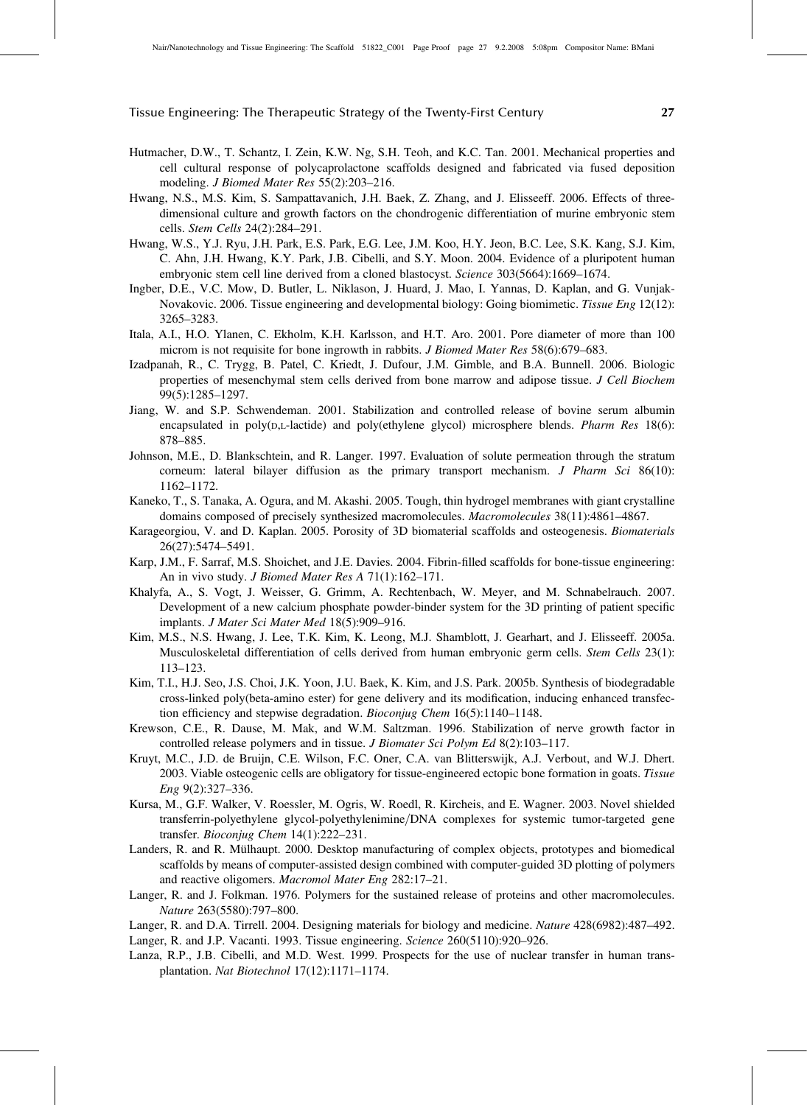- Hutmacher, D.W., T. Schantz, I. Zein, K.W. Ng, S.H. Teoh, and K.C. Tan. 2001. Mechanical properties and cell cultural response of polycaprolactone scaffolds designed and fabricated via fused deposition modeling. J Biomed Mater Res 55(2):203–216.
- Hwang, N.S., M.S. Kim, S. Sampattavanich, J.H. Baek, Z. Zhang, and J. Elisseeff. 2006. Effects of threedimensional culture and growth factors on the chondrogenic differentiation of murine embryonic stem cells. Stem Cells 24(2):284–291.
- Hwang, W.S., Y.J. Ryu, J.H. Park, E.S. Park, E.G. Lee, J.M. Koo, H.Y. Jeon, B.C. Lee, S.K. Kang, S.J. Kim, C. Ahn, J.H. Hwang, K.Y. Park, J.B. Cibelli, and S.Y. Moon. 2004. Evidence of a pluripotent human embryonic stem cell line derived from a cloned blastocyst. Science 303(5664):1669–1674.
- Ingber, D.E., V.C. Mow, D. Butler, L. Niklason, J. Huard, J. Mao, I. Yannas, D. Kaplan, and G. Vunjak-Novakovic. 2006. Tissue engineering and developmental biology: Going biomimetic. Tissue Eng 12(12): 3265–3283.
- Itala, A.I., H.O. Ylanen, C. Ekholm, K.H. Karlsson, and H.T. Aro. 2001. Pore diameter of more than 100 microm is not requisite for bone ingrowth in rabbits. *J Biomed Mater Res* 58(6):679–683.
- Izadpanah, R., C. Trygg, B. Patel, C. Kriedt, J. Dufour, J.M. Gimble, and B.A. Bunnell. 2006. Biologic properties of mesenchymal stem cells derived from bone marrow and adipose tissue. J Cell Biochem 99(5):1285–1297.
- Jiang, W. and S.P. Schwendeman. 2001. Stabilization and controlled release of bovine serum albumin encapsulated in  $poly(p,L-lactide)$  and  $poly(ethylene glycol)$  microsphere blends. *Pharm Res* 18(6): 878–885.
- Johnson, M.E., D. Blankschtein, and R. Langer. 1997. Evaluation of solute permeation through the stratum corneum: lateral bilayer diffusion as the primary transport mechanism. J Pharm Sci 86(10): 1162–1172.
- Kaneko, T., S. Tanaka, A. Ogura, and M. Akashi. 2005. Tough, thin hydrogel membranes with giant crystalline domains composed of precisely synthesized macromolecules. Macromolecules 38(11):4861–4867.
- Karageorgiou, V. and D. Kaplan. 2005. Porosity of 3D biomaterial scaffolds and osteogenesis. Biomaterials 26(27):5474–5491.
- Karp, J.M., F. Sarraf, M.S. Shoichet, and J.E. Davies. 2004. Fibrin-filled scaffolds for bone-tissue engineering: An in vivo study. *J Biomed Mater Res A* 71(1):162-171.
- Khalyfa, A., S. Vogt, J. Weisser, G. Grimm, A. Rechtenbach, W. Meyer, and M. Schnabelrauch. 2007. Development of a new calcium phosphate powder-binder system for the 3D printing of patient specific implants. J Mater Sci Mater Med 18(5):909–916.
- Kim, M.S., N.S. Hwang, J. Lee, T.K. Kim, K. Leong, M.J. Shamblott, J. Gearhart, and J. Elisseeff. 2005a. Musculoskeletal differentiation of cells derived from human embryonic germ cells. Stem Cells 23(1): 113–123.
- Kim, T.I., H.J. Seo, J.S. Choi, J.K. Yoon, J.U. Baek, K. Kim, and J.S. Park. 2005b. Synthesis of biodegradable cross-linked poly(beta-amino ester) for gene delivery and its modification, inducing enhanced transfection efficiency and stepwise degradation. Bioconjug Chem 16(5):1140-1148.
- Krewson, C.E., R. Dause, M. Mak, and W.M. Saltzman. 1996. Stabilization of nerve growth factor in controlled release polymers and in tissue. J Biomater Sci Polym Ed 8(2):103-117.
- Kruyt, M.C., J.D. de Bruijn, C.E. Wilson, F.C. Oner, C.A. van Blitterswijk, A.J. Verbout, and W.J. Dhert. 2003. Viable osteogenic cells are obligatory for tissue-engineered ectopic bone formation in goats. Tissue Eng 9(2):327–336.
- Kursa, M., G.F. Walker, V. Roessler, M. Ogris, W. Roedl, R. Kircheis, and E. Wagner. 2003. Novel shielded transferrin-polyethylene glycol-polyethylenimine/DNA complexes for systemic tumor-targeted gene transfer. Bioconjug Chem 14(1):222–231.
- Landers, R. and R. Mülhaupt. 2000. Desktop manufacturing of complex objects, prototypes and biomedical scaffolds by means of computer-assisted design combined with computer-guided 3D plotting of polymers and reactive oligomers. Macromol Mater Eng 282:17–21.
- Langer, R. and J. Folkman. 1976. Polymers for the sustained release of proteins and other macromolecules. Nature 263(5580):797–800.
- Langer, R. and D.A. Tirrell. 2004. Designing materials for biology and medicine. Nature 428(6982):487–492. Langer, R. and J.P. Vacanti. 1993. Tissue engineering. Science 260(5110):920–926.
- Lanza, R.P., J.B. Cibelli, and M.D. West. 1999. Prospects for the use of nuclear transfer in human transplantation. Nat Biotechnol 17(12):1171–1174.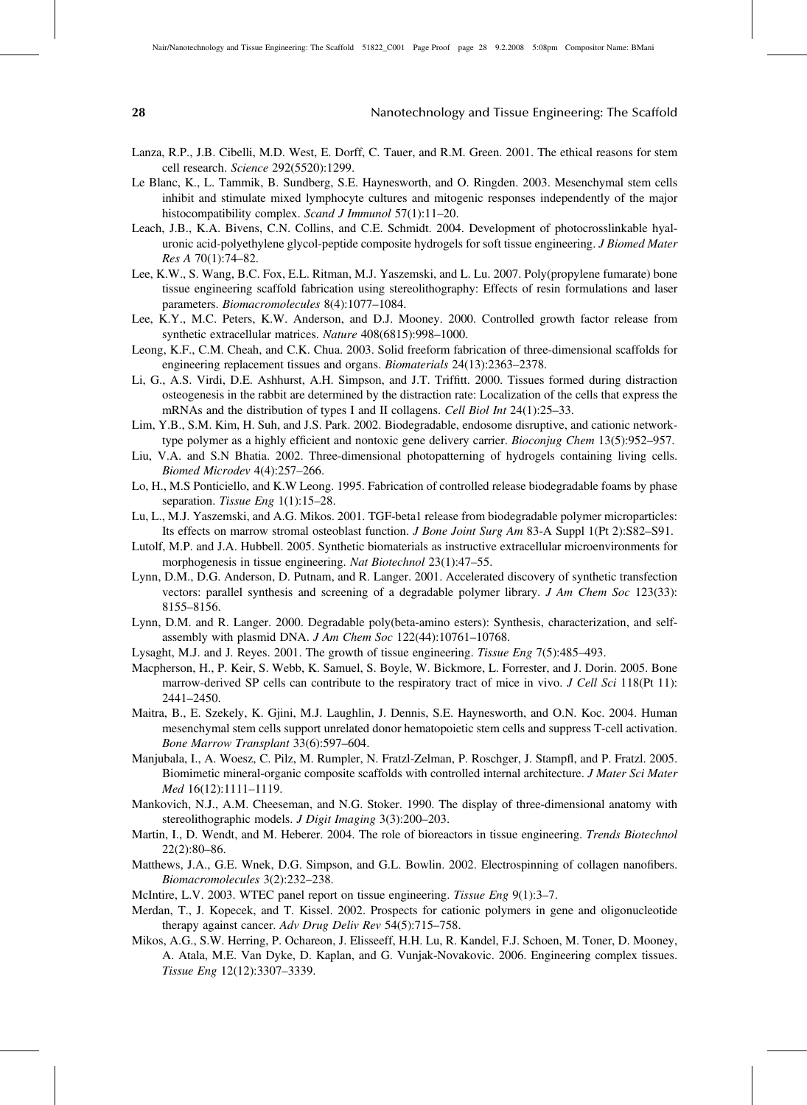- Lanza, R.P., J.B. Cibelli, M.D. West, E. Dorff, C. Tauer, and R.M. Green. 2001. The ethical reasons for stem cell research. Science 292(5520):1299.
- Le Blanc, K., L. Tammik, B. Sundberg, S.E. Haynesworth, and O. Ringden. 2003. Mesenchymal stem cells inhibit and stimulate mixed lymphocyte cultures and mitogenic responses independently of the major histocompatibility complex. Scand J Immunol 57(1):11-20.
- Leach, J.B., K.A. Bivens, C.N. Collins, and C.E. Schmidt. 2004. Development of photocrosslinkable hyaluronic acid-polyethylene glycol-peptide composite hydrogels for soft tissue engineering. J Biomed Mater Res A 70(1):74–82.
- Lee, K.W., S. Wang, B.C. Fox, E.L. Ritman, M.J. Yaszemski, and L. Lu. 2007. Poly(propylene fumarate) bone tissue engineering scaffold fabrication using stereolithography: Effects of resin formulations and laser parameters. Biomacromolecules 8(4):1077–1084.
- Lee, K.Y., M.C. Peters, K.W. Anderson, and D.J. Mooney. 2000. Controlled growth factor release from synthetic extracellular matrices. Nature 408(6815):998–1000.
- Leong, K.F., C.M. Cheah, and C.K. Chua. 2003. Solid freeform fabrication of three-dimensional scaffolds for engineering replacement tissues and organs. Biomaterials 24(13):2363–2378.
- Li, G., A.S. Virdi, D.E. Ashhurst, A.H. Simpson, and J.T. Triffitt. 2000. Tissues formed during distraction osteogenesis in the rabbit are determined by the distraction rate: Localization of the cells that express the mRNAs and the distribution of types I and II collagens. Cell Biol Int 24(1):25–33.
- Lim, Y.B., S.M. Kim, H. Suh, and J.S. Park. 2002. Biodegradable, endosome disruptive, and cationic networktype polymer as a highly efficient and nontoxic gene delivery carrier. Bioconjug Chem 13(5):952–957.
- Liu, V.A. and S.N Bhatia. 2002. Three-dimensional photopatterning of hydrogels containing living cells. Biomed Microdev 4(4):257–266.
- Lo, H., M.S Ponticiello, and K.W Leong. 1995. Fabrication of controlled release biodegradable foams by phase separation. Tissue Eng 1(1):15-28.
- Lu, L., M.J. Yaszemski, and A.G. Mikos. 2001. TGF-beta1 release from biodegradable polymer microparticles: Its effects on marrow stromal osteoblast function. J Bone Joint Surg Am 83-A Suppl 1(Pt 2):S82–S91.
- Lutolf, M.P. and J.A. Hubbell. 2005. Synthetic biomaterials as instructive extracellular microenvironments for morphogenesis in tissue engineering. Nat Biotechnol 23(1):47–55.
- Lynn, D.M., D.G. Anderson, D. Putnam, and R. Langer. 2001. Accelerated discovery of synthetic transfection vectors: parallel synthesis and screening of a degradable polymer library. *J Am Chem Soc* 123(33): 8155–8156.
- Lynn, D.M. and R. Langer. 2000. Degradable poly(beta-amino esters): Synthesis, characterization, and selfassembly with plasmid DNA. J Am Chem Soc 122(44):10761–10768.
- Lysaght, M.J. and J. Reyes. 2001. The growth of tissue engineering. Tissue Eng 7(5):485-493.
- Macpherson, H., P. Keir, S. Webb, K. Samuel, S. Boyle, W. Bickmore, L. Forrester, and J. Dorin. 2005. Bone marrow-derived SP cells can contribute to the respiratory tract of mice in vivo. J Cell Sci 118(Pt 11): 2441–2450.
- Maitra, B., E. Szekely, K. Gjini, M.J. Laughlin, J. Dennis, S.E. Haynesworth, and O.N. Koc. 2004. Human mesenchymal stem cells support unrelated donor hematopoietic stem cells and suppress T-cell activation. Bone Marrow Transplant 33(6):597–604.
- Manjubala, I., A. Woesz, C. Pilz, M. Rumpler, N. Fratzl-Zelman, P. Roschger, J. Stampfl, and P. Fratzl. 2005. Biomimetic mineral-organic composite scaffolds with controlled internal architecture. J Mater Sci Mater Med 16(12):1111–1119.
- Mankovich, N.J., A.M. Cheeseman, and N.G. Stoker. 1990. The display of three-dimensional anatomy with stereolithographic models. J Digit Imaging 3(3):200–203.
- Martin, I., D. Wendt, and M. Heberer. 2004. The role of bioreactors in tissue engineering. *Trends Biotechnol* 22(2):80–86.
- Matthews, J.A., G.E. Wnek, D.G. Simpson, and G.L. Bowlin. 2002. Electrospinning of collagen nanofibers. Biomacromolecules 3(2):232–238.
- McIntire, L.V. 2003. WTEC panel report on tissue engineering. Tissue Eng 9(1):3–7.
- Merdan, T., J. Kopecek, and T. Kissel. 2002. Prospects for cationic polymers in gene and oligonucleotide therapy against cancer. Adv Drug Deliv Rev 54(5):715-758.
- Mikos, A.G., S.W. Herring, P. Ochareon, J. Elisseeff, H.H. Lu, R. Kandel, F.J. Schoen, M. Toner, D. Mooney, A. Atala, M.E. Van Dyke, D. Kaplan, and G. Vunjak-Novakovic. 2006. Engineering complex tissues. Tissue Eng 12(12):3307–3339.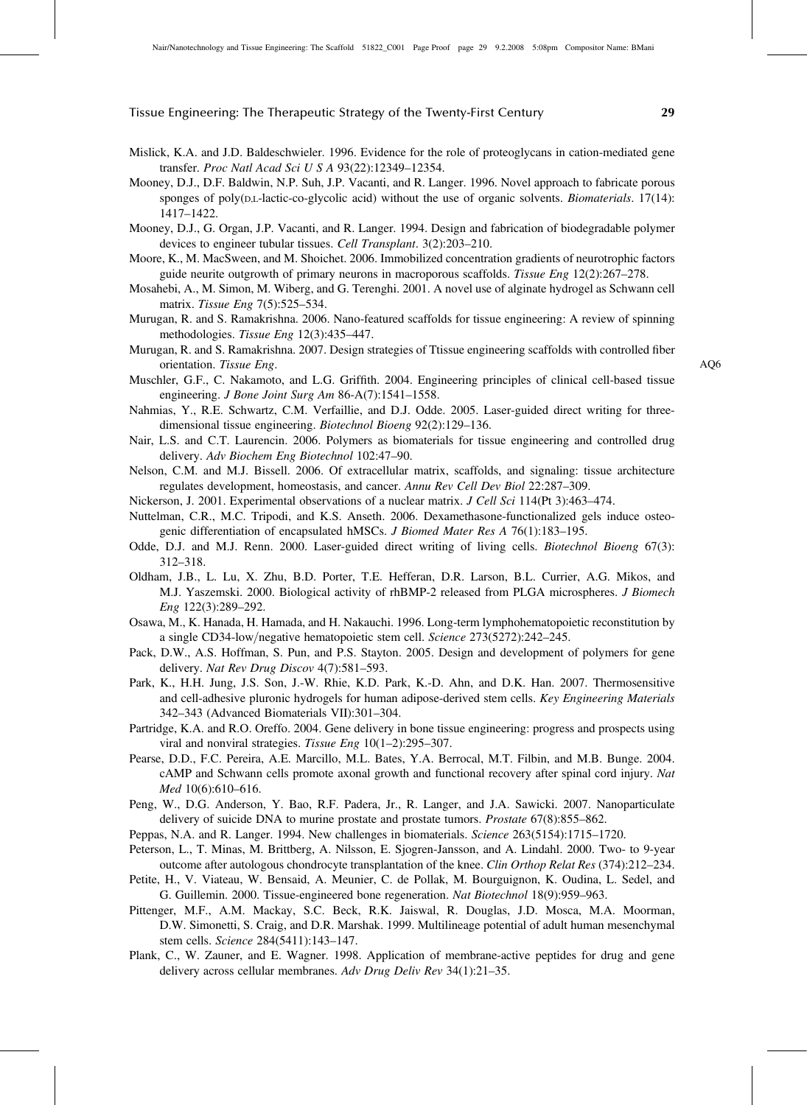- Mislick, K.A. and J.D. Baldeschwieler. 1996. Evidence for the role of proteoglycans in cation-mediated gene transfer. Proc Natl Acad Sci U S A 93(22):12349–12354.
- Mooney, D.J., D.F. Baldwin, N.P. Suh, J.P. Vacanti, and R. Langer. 1996. Novel approach to fabricate porous sponges of poly(D,L-lactic-co-glycolic acid) without the use of organic solvents. Biomaterials. 17(14): 1417–1422.
- Mooney, D.J., G. Organ, J.P. Vacanti, and R. Langer. 1994. Design and fabrication of biodegradable polymer devices to engineer tubular tissues. Cell Transplant. 3(2):203–210.
- Moore, K., M. MacSween, and M. Shoichet. 2006. Immobilized concentration gradients of neurotrophic factors guide neurite outgrowth of primary neurons in macroporous scaffolds. Tissue Eng 12(2):267–278.
- Mosahebi, A., M. Simon, M. Wiberg, and G. Terenghi. 2001. A novel use of alginate hydrogel as Schwann cell matrix. Tissue Eng 7(5):525–534.
- Murugan, R. and S. Ramakrishna. 2006. Nano-featured scaffolds for tissue engineering: A review of spinning methodologies. Tissue Eng 12(3):435–447.
- Murugan, R. and S. Ramakrishna. 2007. Design strategies of Ttissue engineering scaffolds with controlled fiber orientation. Tissue Eng.  $\Box$ 
	-
- Muschler, G.F., C. Nakamoto, and L.G. Griffith. 2004. Engineering principles of clinical cell-based tissue engineering. J Bone Joint Surg Am 86-A(7):1541–1558.
- Nahmias, Y., R.E. Schwartz, C.M. Verfaillie, and D.J. Odde. 2005. Laser-guided direct writing for threedimensional tissue engineering. Biotechnol Bioeng 92(2):129–136.
- Nair, L.S. and C.T. Laurencin. 2006. Polymers as biomaterials for tissue engineering and controlled drug delivery. Adv Biochem Eng Biotechnol 102:47–90.
- Nelson, C.M. and M.J. Bissell. 2006. Of extracellular matrix, scaffolds, and signaling: tissue architecture regulates development, homeostasis, and cancer. Annu Rev Cell Dev Biol 22:287–309.
- Nickerson, J. 2001. Experimental observations of a nuclear matrix. J Cell Sci 114(Pt 3):463–474.
- Nuttelman, C.R., M.C. Tripodi, and K.S. Anseth. 2006. Dexamethasone-functionalized gels induce osteogenic differentiation of encapsulated hMSCs. J Biomed Mater Res A 76(1):183–195.
- Odde, D.J. and M.J. Renn. 2000. Laser-guided direct writing of living cells. Biotechnol Bioeng 67(3): 312–318.
- Oldham, J.B., L. Lu, X. Zhu, B.D. Porter, T.E. Hefferan, D.R. Larson, B.L. Currier, A.G. Mikos, and M.J. Yaszemski. 2000. Biological activity of rhBMP-2 released from PLGA microspheres. J Biomech Eng 122(3):289–292.
- Osawa, M., K. Hanada, H. Hamada, and H. Nakauchi. 1996. Long-term lymphohematopoietic reconstitution by a single CD34-low/negative hematopoietic stem cell. Science  $273(5272):242-245$ .
- Pack, D.W., A.S. Hoffman, S. Pun, and P.S. Stayton. 2005. Design and development of polymers for gene delivery. Nat Rev Drug Discov 4(7):581-593.
- Park, K., H.H. Jung, J.S. Son, J.-W. Rhie, K.D. Park, K.-D. Ahn, and D.K. Han. 2007. Thermosensitive and cell-adhesive pluronic hydrogels for human adipose-derived stem cells. Key Engineering Materials 342–343 (Advanced Biomaterials VII):301–304.
- Partridge, K.A. and R.O. Oreffo. 2004. Gene delivery in bone tissue engineering: progress and prospects using viral and nonviral strategies. Tissue Eng 10(1–2):295–307.
- Pearse, D.D., F.C. Pereira, A.E. Marcillo, M.L. Bates, Y.A. Berrocal, M.T. Filbin, and M.B. Bunge. 2004. cAMP and Schwann cells promote axonal growth and functional recovery after spinal cord injury. Nat Med 10(6):610–616.
- Peng, W., D.G. Anderson, Y. Bao, R.F. Padera, Jr., R. Langer, and J.A. Sawicki. 2007. Nanoparticulate delivery of suicide DNA to murine prostate and prostate tumors. Prostate 67(8):855–862.
- Peppas, N.A. and R. Langer. 1994. New challenges in biomaterials. Science 263(5154):1715–1720.
- Peterson, L., T. Minas, M. Brittberg, A. Nilsson, E. Sjogren-Jansson, and A. Lindahl. 2000. Two- to 9-year outcome after autologous chondrocyte transplantation of the knee. Clin Orthop Relat Res (374):212–234.
- Petite, H., V. Viateau, W. Bensaid, A. Meunier, C. de Pollak, M. Bourguignon, K. Oudina, L. Sedel, and G. Guillemin. 2000. Tissue-engineered bone regeneration. Nat Biotechnol 18(9):959–963.
- Pittenger, M.F., A.M. Mackay, S.C. Beck, R.K. Jaiswal, R. Douglas, J.D. Mosca, M.A. Moorman, D.W. Simonetti, S. Craig, and D.R. Marshak. 1999. Multilineage potential of adult human mesenchymal stem cells. Science 284(5411):143–147.
- Plank, C., W. Zauner, and E. Wagner. 1998. Application of membrane-active peptides for drug and gene delivery across cellular membranes. Adv Drug Deliv Rev 34(1):21–35.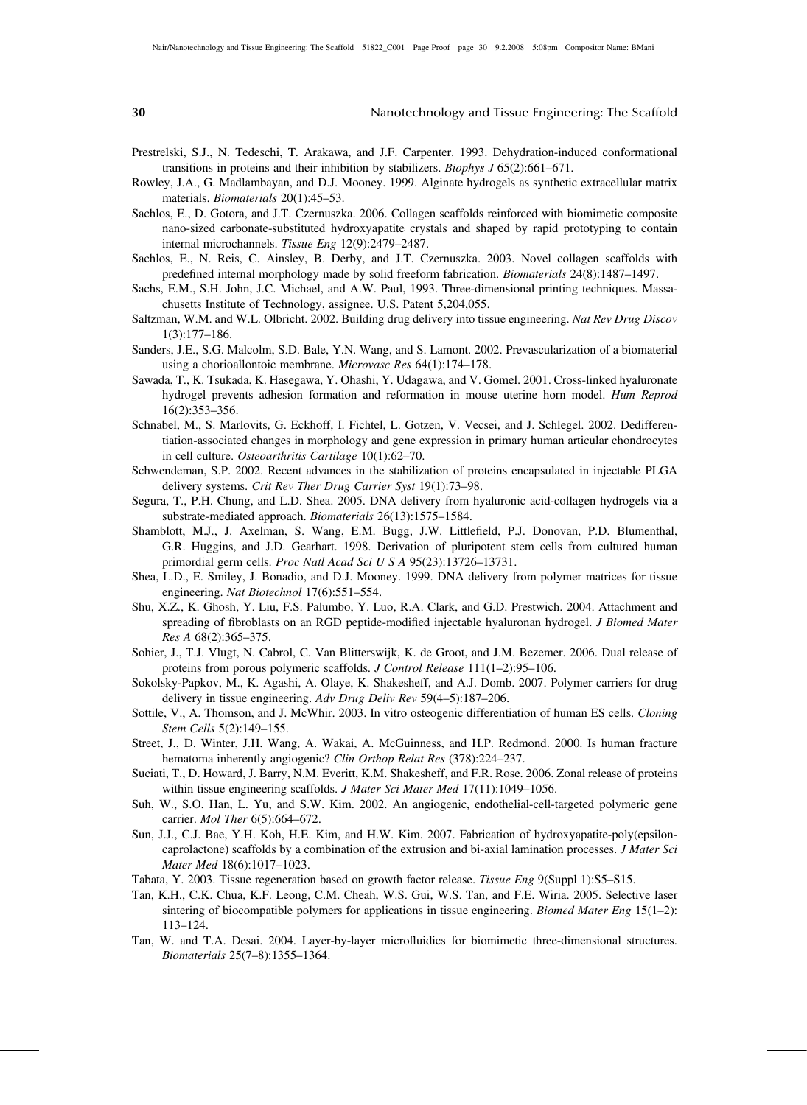- Prestrelski, S.J., N. Tedeschi, T. Arakawa, and J.F. Carpenter. 1993. Dehydration-induced conformational transitions in proteins and their inhibition by stabilizers. Biophys J 65(2):661–671.
- Rowley, J.A., G. Madlambayan, and D.J. Mooney. 1999. Alginate hydrogels as synthetic extracellular matrix materials. Biomaterials 20(1):45–53.
- Sachlos, E., D. Gotora, and J.T. Czernuszka. 2006. Collagen scaffolds reinforced with biomimetic composite nano-sized carbonate-substituted hydroxyapatite crystals and shaped by rapid prototyping to contain internal microchannels. Tissue Eng 12(9):2479–2487.
- Sachlos, E., N. Reis, C. Ainsley, B. Derby, and J.T. Czernuszka. 2003. Novel collagen scaffolds with predefined internal morphology made by solid freeform fabrication. Biomaterials 24(8):1487–1497.
- Sachs, E.M., S.H. John, J.C. Michael, and A.W. Paul, 1993. Three-dimensional printing techniques. Massachusetts Institute of Technology, assignee. U.S. Patent 5,204,055.
- Saltzman, W.M. and W.L. Olbricht. 2002. Building drug delivery into tissue engineering. Nat Rev Drug Discov 1(3):177–186.
- Sanders, J.E., S.G. Malcolm, S.D. Bale, Y.N. Wang, and S. Lamont. 2002. Prevascularization of a biomaterial using a chorioallontoic membrane. Microvasc Res 64(1):174–178.
- Sawada, T., K. Tsukada, K. Hasegawa, Y. Ohashi, Y. Udagawa, and V. Gomel. 2001. Cross-linked hyaluronate hydrogel prevents adhesion formation and reformation in mouse uterine horn model. Hum Reprod 16(2):353–356.
- Schnabel, M., S. Marlovits, G. Eckhoff, I. Fichtel, L. Gotzen, V. Vecsei, and J. Schlegel. 2002. Dedifferentiation-associated changes in morphology and gene expression in primary human articular chondrocytes in cell culture. Osteoarthritis Cartilage 10(1):62–70.
- Schwendeman, S.P. 2002. Recent advances in the stabilization of proteins encapsulated in injectable PLGA delivery systems. Crit Rev Ther Drug Carrier Syst 19(1):73–98.
- Segura, T., P.H. Chung, and L.D. Shea. 2005. DNA delivery from hyaluronic acid-collagen hydrogels via a substrate-mediated approach. Biomaterials 26(13):1575–1584.
- Shamblott, M.J., J. Axelman, S. Wang, E.M. Bugg, J.W. Littlefield, P.J. Donovan, P.D. Blumenthal, G.R. Huggins, and J.D. Gearhart. 1998. Derivation of pluripotent stem cells from cultured human primordial germ cells. Proc Natl Acad Sci U S A 95(23):13726–13731.
- Shea, L.D., E. Smiley, J. Bonadio, and D.J. Mooney. 1999. DNA delivery from polymer matrices for tissue engineering. Nat Biotechnol 17(6):551–554.
- Shu, X.Z., K. Ghosh, Y. Liu, F.S. Palumbo, Y. Luo, R.A. Clark, and G.D. Prestwich. 2004. Attachment and spreading of fibroblasts on an RGD peptide-modified injectable hyaluronan hydrogel. *J Biomed Mater* Res A 68(2):365–375.
- Sohier, J., T.J. Vlugt, N. Cabrol, C. Van Blitterswijk, K. de Groot, and J.M. Bezemer. 2006. Dual release of proteins from porous polymeric scaffolds. J Control Release 111(1–2):95–106.
- Sokolsky-Papkov, M., K. Agashi, A. Olaye, K. Shakesheff, and A.J. Domb. 2007. Polymer carriers for drug delivery in tissue engineering. Adv Drug Deliv Rev 59(4–5):187–206.
- Sottile, V., A. Thomson, and J. McWhir. 2003. In vitro osteogenic differentiation of human ES cells. Cloning Stem Cells 5(2):149–155.
- Street, J., D. Winter, J.H. Wang, A. Wakai, A. McGuinness, and H.P. Redmond. 2000. Is human fracture hematoma inherently angiogenic? Clin Orthop Relat Res (378):224–237.
- Suciati, T., D. Howard, J. Barry, N.M. Everitt, K.M. Shakesheff, and F.R. Rose. 2006. Zonal release of proteins within tissue engineering scaffolds. J Mater Sci Mater Med 17(11):1049-1056.
- Suh, W., S.O. Han, L. Yu, and S.W. Kim. 2002. An angiogenic, endothelial-cell-targeted polymeric gene carrier. Mol Ther 6(5):664–672.
- Sun, J.J., C.J. Bae, Y.H. Koh, H.E. Kim, and H.W. Kim. 2007. Fabrication of hydroxyapatite-poly(epsiloncaprolactone) scaffolds by a combination of the extrusion and bi-axial lamination processes. J Mater Sci Mater Med 18(6):1017–1023.
- Tabata, Y. 2003. Tissue regeneration based on growth factor release. Tissue Eng 9(Suppl 1):S5–S15.
- Tan, K.H., C.K. Chua, K.F. Leong, C.M. Cheah, W.S. Gui, W.S. Tan, and F.E. Wiria. 2005. Selective laser sintering of biocompatible polymers for applications in tissue engineering. Biomed Mater Eng 15(1–2): 113–124.
- Tan, W. and T.A. Desai. 2004. Layer-by-layer microfluidics for biomimetic three-dimensional structures. Biomaterials 25(7–8):1355–1364.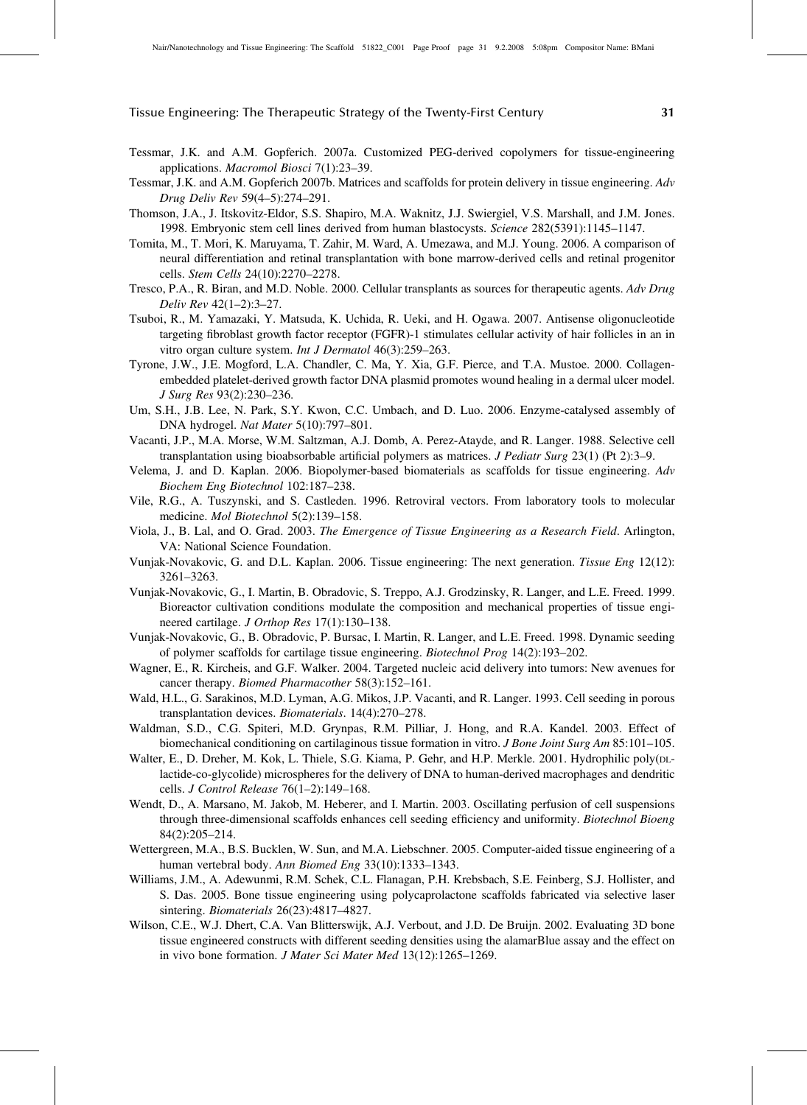- Tessmar, J.K. and A.M. Gopferich. 2007a. Customized PEG-derived copolymers for tissue-engineering applications. Macromol Biosci 7(1):23–39.
- Tessmar, J.K. and A.M. Gopferich 2007b. Matrices and scaffolds for protein delivery in tissue engineering. Adv Drug Deliv Rev 59(4–5):274–291.
- Thomson, J.A., J. Itskovitz-Eldor, S.S. Shapiro, M.A. Waknitz, J.J. Swiergiel, V.S. Marshall, and J.M. Jones. 1998. Embryonic stem cell lines derived from human blastocysts. Science 282(5391):1145–1147.
- Tomita, M., T. Mori, K. Maruyama, T. Zahir, M. Ward, A. Umezawa, and M.J. Young. 2006. A comparison of neural differentiation and retinal transplantation with bone marrow-derived cells and retinal progenitor cells. Stem Cells 24(10):2270–2278.
- Tresco, P.A., R. Biran, and M.D. Noble. 2000. Cellular transplants as sources for therapeutic agents. Adv Drug Deliv Rev 42(1–2):3–27.
- Tsuboi, R., M. Yamazaki, Y. Matsuda, K. Uchida, R. Ueki, and H. Ogawa. 2007. Antisense oligonucleotide targeting fibroblast growth factor receptor (FGFR)-1 stimulates cellular activity of hair follicles in an in vitro organ culture system. *Int J Dermatol* 46(3):259–263.
- Tyrone, J.W., J.E. Mogford, L.A. Chandler, C. Ma, Y. Xia, G.F. Pierce, and T.A. Mustoe. 2000. Collagenembedded platelet-derived growth factor DNA plasmid promotes wound healing in a dermal ulcer model. J Surg Res 93(2):230–236.
- Um, S.H., J.B. Lee, N. Park, S.Y. Kwon, C.C. Umbach, and D. Luo. 2006. Enzyme-catalysed assembly of DNA hydrogel. Nat Mater 5(10):797–801.
- Vacanti, J.P., M.A. Morse, W.M. Saltzman, A.J. Domb, A. Perez-Atayde, and R. Langer. 1988. Selective cell transplantation using bioabsorbable artificial polymers as matrices. J Pediatr Surg 23(1) (Pt 2):3–9.
- Velema, J. and D. Kaplan. 2006. Biopolymer-based biomaterials as scaffolds for tissue engineering. Adv Biochem Eng Biotechnol 102:187–238.
- Vile, R.G., A. Tuszynski, and S. Castleden. 1996. Retroviral vectors. From laboratory tools to molecular medicine. Mol Biotechnol 5(2):139–158.
- Viola, J., B. Lal, and O. Grad. 2003. The Emergence of Tissue Engineering as a Research Field. Arlington, VA: National Science Foundation.
- Vunjak-Novakovic, G. and D.L. Kaplan. 2006. Tissue engineering: The next generation. Tissue Eng 12(12): 3261–3263.
- Vunjak-Novakovic, G., I. Martin, B. Obradovic, S. Treppo, A.J. Grodzinsky, R. Langer, and L.E. Freed. 1999. Bioreactor cultivation conditions modulate the composition and mechanical properties of tissue engineered cartilage. J Orthop Res 17(1):130–138.
- Vunjak-Novakovic, G., B. Obradovic, P. Bursac, I. Martin, R. Langer, and L.E. Freed. 1998. Dynamic seeding of polymer scaffolds for cartilage tissue engineering. Biotechnol Prog 14(2):193–202.
- Wagner, E., R. Kircheis, and G.F. Walker. 2004. Targeted nucleic acid delivery into tumors: New avenues for cancer therapy. Biomed Pharmacother 58(3):152–161.
- Wald, H.L., G. Sarakinos, M.D. Lyman, A.G. Mikos, J.P. Vacanti, and R. Langer. 1993. Cell seeding in porous transplantation devices. Biomaterials. 14(4):270–278.
- Waldman, S.D., C.G. Spiteri, M.D. Grynpas, R.M. Pilliar, J. Hong, and R.A. Kandel. 2003. Effect of biomechanical conditioning on cartilaginous tissue formation in vitro. J Bone Joint Surg Am 85:101–105.
- Walter, E., D. Dreher, M. Kok, L. Thiele, S.G. Kiama, P. Gehr, and H.P. Merkle. 2001. Hydrophilic poly(DLlactide-co-glycolide) microspheres for the delivery of DNA to human-derived macrophages and dendritic cells. J Control Release 76(1–2):149–168.
- Wendt, D., A. Marsano, M. Jakob, M. Heberer, and I. Martin. 2003. Oscillating perfusion of cell suspensions through three-dimensional scaffolds enhances cell seeding efficiency and uniformity. Biotechnol Bioeng 84(2):205–214.
- Wettergreen, M.A., B.S. Bucklen, W. Sun, and M.A. Liebschner. 2005. Computer-aided tissue engineering of a human vertebral body. Ann Biomed Eng 33(10):1333–1343.
- Williams, J.M., A. Adewunmi, R.M. Schek, C.L. Flanagan, P.H. Krebsbach, S.E. Feinberg, S.J. Hollister, and S. Das. 2005. Bone tissue engineering using polycaprolactone scaffolds fabricated via selective laser sintering. Biomaterials 26(23):4817–4827.
- Wilson, C.E., W.J. Dhert, C.A. Van Blitterswijk, A.J. Verbout, and J.D. De Bruijn. 2002. Evaluating 3D bone tissue engineered constructs with different seeding densities using the alamarBlue assay and the effect on in vivo bone formation. J Mater Sci Mater Med 13(12):1265–1269.